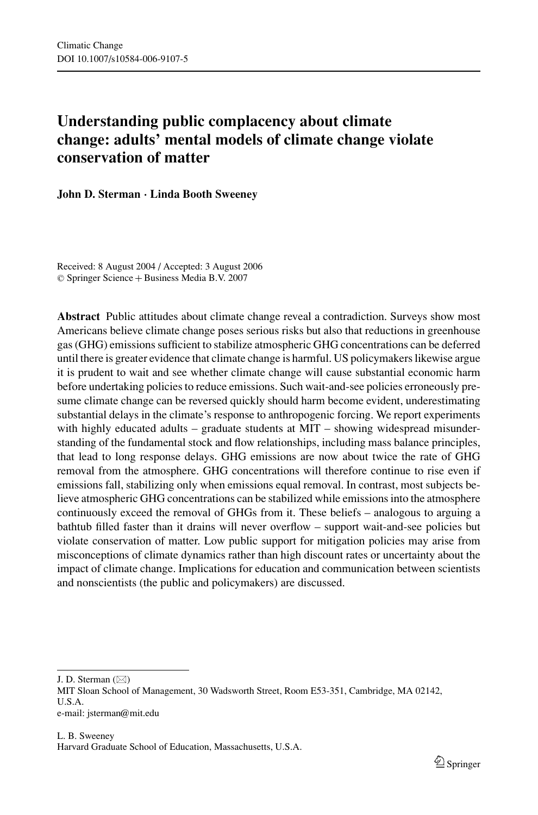# **Understanding public complacency about climate change: adults' mental models of climate change violate conservation of matter**

**John D. Sterman** · **Linda Booth Sweeney**

Received: 8 August 2004 / Accepted: 3 August 2006 !<sup>C</sup> Springer Science + Business Media B.V. 2007

**Abstract** Public attitudes about climate change reveal a contradiction. Surveys show most Americans believe climate change poses serious risks but also that reductions in greenhouse gas(GHG) emissionssufficient to stabilize atmospheric GHG concentrations can be deferred until there is greater evidence that climate change is harmful. US policymakers likewise argue it is prudent to wait and see whether climate change will cause substantial economic harm before undertaking policies to reduce emissions. Such wait-and-see policies erroneously presume climate change can be reversed quickly should harm become evident, underestimating substantial delays in the climate's response to anthropogenic forcing. We report experiments with highly educated adults – graduate students at MIT – showing widespread misunderstanding of the fundamental stock and flow relationships, including mass balance principles, that lead to long response delays. GHG emissions are now about twice the rate of GHG removal from the atmosphere. GHG concentrations will therefore continue to rise even if emissions fall, stabilizing only when emissions equal removal. In contrast, most subjects believe atmospheric GHG concentrations can be stabilized while emissionsinto the atmosphere continuously exceed the removal of GHGs from it. These beliefs – analogous to arguing a bathtub filled faster than it drains will never overflow – support wait-and-see policies but violate conservation of matter. Low public support for mitigation policies may arise from misconceptions of climate dynamics rather than high discount rates or uncertainty about the impact of climate change. Implications for education and communication between scientists and nonscientists (the public and policymakers) are discussed.

L. B. Sweeney Harvard Graduate School of Education, Massachusetts, U.S.A.

J. D. Sterman  $(\boxtimes)$ 

MIT Sloan School of Management, 30 Wadsworth Street, Room E53-351, Cambridge, MA 02142, U.S.A. e-mail: jsterman@mit.edu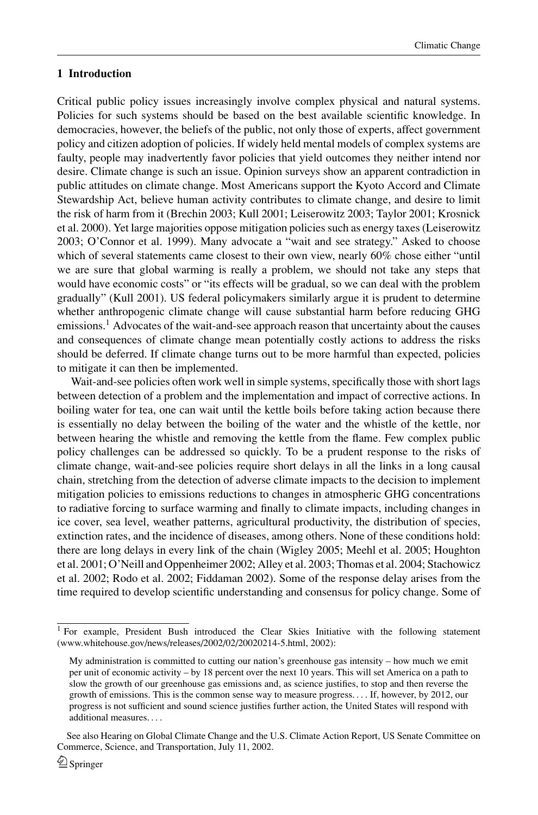# **1 Introduction**

Critical public policy issues increasingly involve complex physical and natural systems. Policies for such systems should be based on the best available scientific knowledge. In democracies, however, the beliefs of the public, not only those of experts, affect government policy and citizen adoption of policies. If widely held mental models of complex systems are faulty, people may inadvertently favor policies that yield outcomes they neither intend nor desire. Climate change is such an issue. Opinion surveys show an apparent contradiction in public attitudes on climate change. Most Americans support the Kyoto Accord and Climate Stewardship Act, believe human activity contributes to climate change, and desire to limit the risk of harm from it (Brechin 2003; Kull 2001; Leiserowitz 2003; Taylor 2001; Krosnick et al. 2000). Yet large majorities oppose mitigation policiessuch as energy taxes(Leiserowitz 2003; O'Connor et al. 1999). Many advocate a "wait and see strategy." Asked to choose which of several statements came closest to their own view, nearly 60% chose either "until we are sure that global warming is really a problem, we should not take any steps that would have economic costs" or "its effects will be gradual, so we can deal with the problem gradually" (Kull 2001). US federal policymakers similarly argue it is prudent to determine whether anthropogenic climate change will cause substantial harm before reducing GHG emissions.<sup>1</sup> Advocates of the wait-and-see approach reason that uncertainty about the causes and consequences of climate change mean potentially costly actions to address the risks should be deferred. If climate change turns out to be more harmful than expected, policies to mitigate it can then be implemented.

Wait-and-see policies often work well in simple systems, specifically those with short lags between detection of a problem and the implementation and impact of corrective actions. In boiling water for tea, one can wait until the kettle boils before taking action because there is essentially no delay between the boiling of the water and the whistle of the kettle, nor between hearing the whistle and removing the kettle from the flame. Few complex public policy challenges can be addressed so quickly. To be a prudent response to the risks of climate change, wait-and-see policies require short delays in all the links in a long causal chain, stretching from the detection of adverse climate impacts to the decision to implement mitigation policies to emissions reductions to changes in atmospheric GHG concentrations to radiative forcing to surface warming and finally to climate impacts, including changes in ice cover, sea level, weather patterns, agricultural productivity, the distribution of species, extinction rates, and the incidence of diseases, among others. None of these conditions hold: there are long delays in every link of the chain (Wigley 2005; Meehl et al. 2005; Houghton et al. 2001; O'Neill and Oppenheimer 2002; Alley et al. 2003; Thomas et al. 2004; Stachowicz et al. 2002; Rodo et al. 2002; Fiddaman 2002). Some of the response delay arises from the time required to develop scientific understanding and consensus for policy change. Some of

<sup>&</sup>lt;sup>1</sup> For example, President Bush introduced the Clear Skies Initiative with the following statement (www.whitehouse.gov/news/releases/2002/02/20020214-5.html, 2002):

My administration is committed to cutting our nation's greenhouse gas intensity – how much we emit per unit of economic activity – by 18 percent over the next 10 years. This will set America on a path to slow the growth of our greenhouse gas emissions and, as science justifies, to stop and then reverse the growth of emissions. This is the common sense way to measure progress. . . . If, however, by 2012, our progress is not sufficient and sound science justifies further action, the United States will respond with additional measures. . . .

See also Hearing on Global Climate Change and the U.S. Climate Action Report, US Senate Committee on Commerce, Science, and Transportation, July 11, 2002.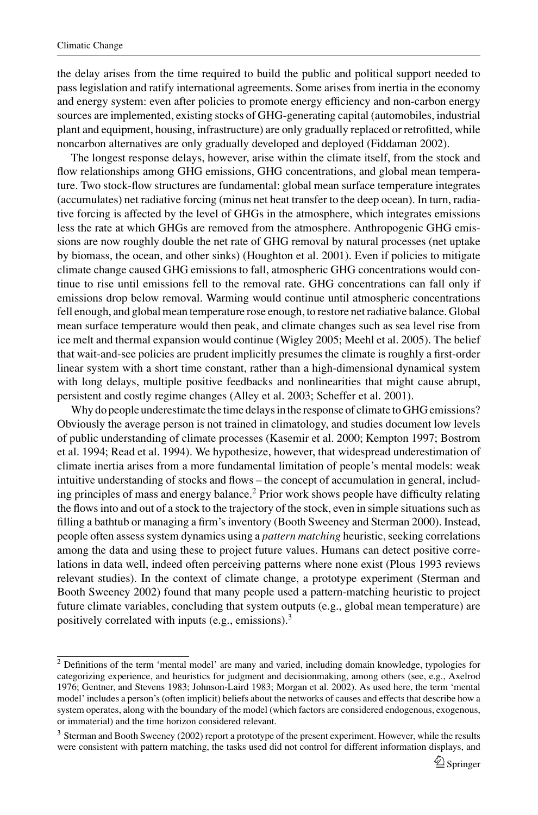the delay arises from the time required to build the public and political support needed to pass legislation and ratify international agreements. Some arises from inertia in the economy and energy system: even after policies to promote energy efficiency and non-carbon energy sources are implemented, existing stocks of GHG-generating capital (automobiles, industrial plant and equipment, housing, infrastructure) are only gradually replaced or retrofitted, while noncarbon alternatives are only gradually developed and deployed (Fiddaman 2002).

The longest response delays, however, arise within the climate itself, from the stock and flow relationships among GHG emissions, GHG concentrations, and global mean temperature. Two stock-flow structures are fundamental: global mean surface temperature integrates (accumulates) net radiative forcing (minus net heat transfer to the deep ocean). In turn, radiative forcing is affected by the level of GHGs in the atmosphere, which integrates emissions less the rate at which GHGs are removed from the atmosphere. Anthropogenic GHG emissions are now roughly double the net rate of GHG removal by natural processes (net uptake by biomass, the ocean, and other sinks) (Houghton et al. 2001). Even if policies to mitigate climate change caused GHG emissions to fall, atmospheric GHG concentrations would continue to rise until emissions fell to the removal rate. GHG concentrations can fall only if emissions drop below removal. Warming would continue until atmospheric concentrations fell enough, and global mean temperature rose enough, to restore netradiative balance. Global mean surface temperature would then peak, and climate changes such as sea level rise from ice melt and thermal expansion would continue (Wigley 2005; Meehl et al. 2005). The belief that wait-and-see policies are prudent implicitly presumes the climate is roughly a first-order linear system with a short time constant, rather than a high-dimensional dynamical system with long delays, multiple positive feedbacks and nonlinearities that might cause abrupt, persistent and costly regime changes (Alley et al. 2003; Scheffer et al. 2001).

Why do people underestimate the time delays in the response of climate to GHG emissions? Obviously the average person is not trained in climatology, and studies document low levels of public understanding of climate processes (Kasemir et al. 2000; Kempton 1997; Bostrom et al. 1994; Read et al. 1994). We hypothesize, however, that widespread underestimation of climate inertia arises from a more fundamental limitation of people's mental models: weak intuitive understanding of stocks and flows – the concept of accumulation in general, including principles of mass and energy balance.<sup>2</sup> Prior work shows people have difficulty relating the flows into and out of a stock to the trajectory of the stock, even in simple situations such as filling a bathtub or managing a firm's inventory (Booth Sweeney and Sterman 2000). Instead, people often assess system dynamics using a *pattern matching* heuristic, seeking correlations among the data and using these to project future values. Humans can detect positive correlations in data well, indeed often perceiving patterns where none exist (Plous 1993 reviews relevant studies). In the context of climate change, a prototype experiment (Sterman and Booth Sweeney 2002) found that many people used a pattern-matching heuristic to project future climate variables, concluding that system outputs (e.g., global mean temperature) are positively correlated with inputs (e.g., emissions).<sup>3</sup>

<sup>2</sup> Definitions of the term 'mental model' are many and varied, including domain knowledge, typologies for categorizing experience, and heuristics for judgment and decisionmaking, among others (see, e.g., Axelrod 1976; Gentner, and Stevens 1983; Johnson-Laird 1983; Morgan et al. 2002). As used here, the term 'mental model' includes a person's (often implicit) beliefs about the networks of causes and effects that describe how a system operates, along with the boundary of the model (which factors are considered endogenous, exogenous, or immaterial) and the time horizon considered relevant.

<sup>&</sup>lt;sup>3</sup> Sterman and Booth Sweeney (2002) report a prototype of the present experiment. However, while the results were consistent with pattern matching, the tasks used did not control for different information displays, and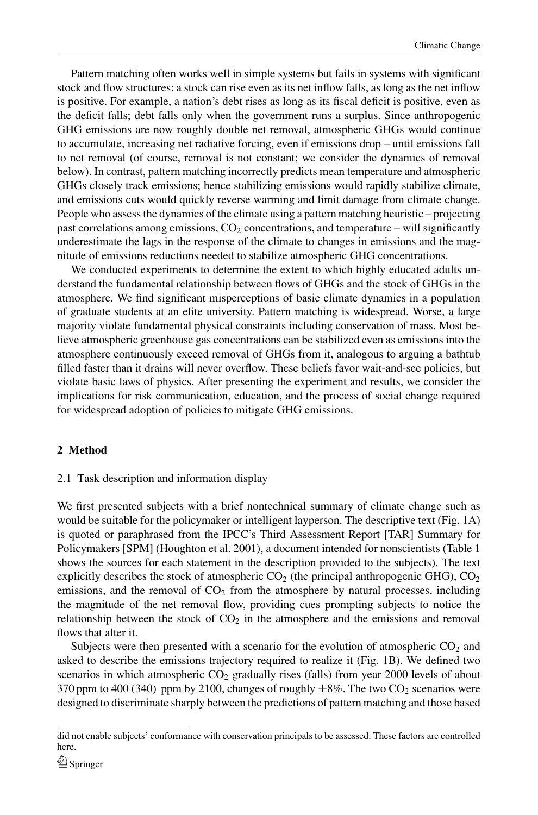Pattern matching often works well in simple systems but fails in systems with significant stock and flow structures: a stock can rise even as its net inflow falls, as long as the net inflow is positive. For example, a nation's debt rises as long as its fiscal deficit is positive, even as the deficit falls; debt falls only when the government runs a surplus. Since anthropogenic GHG emissions are now roughly double net removal, atmospheric GHGs would continue to accumulate, increasing net radiative forcing, even if emissions drop – until emissions fall to net removal (of course, removal is not constant; we consider the dynamics of removal below). In contrast, pattern matching incorrectly predicts mean temperature and atmospheric GHGs closely track emissions; hence stabilizing emissions would rapidly stabilize climate, and emissions cuts would quickly reverse warming and limit damage from climate change. People who assessthe dynamics of the climate using a pattern matching heuristic – projecting past correlations among emissions,  $CO<sub>2</sub>$  concentrations, and temperature – will significantly underestimate the lags in the response of the climate to changes in emissions and the magnitude of emissions reductions needed to stabilize atmospheric GHG concentrations.

We conducted experiments to determine the extent to which highly educated adults understand the fundamental relationship between flows of GHGs and the stock of GHGs in the atmosphere. We find significant misperceptions of basic climate dynamics in a population of graduate students at an elite university. Pattern matching is widespread. Worse, a large majority violate fundamental physical constraints including conservation of mass. Most believe atmospheric greenhouse gas concentrations can be stabilized even as emissions into the atmosphere continuously exceed removal of GHGs from it, analogous to arguing a bathtub filled faster than it drains will never overflow. These beliefs favor wait-and-see policies, but violate basic laws of physics. After presenting the experiment and results, we consider the implications for risk communication, education, and the process of social change required for widespread adoption of policies to mitigate GHG emissions.

# **2 Method**

#### 2.1 Task description and information display

We first presented subjects with a brief nontechnical summary of climate change such as would be suitable for the policymaker or intelligent layperson. The descriptive text (Fig. 1A) is quoted or paraphrased from the IPCC's Third Assessment Report [TAR] Summary for Policymakers [SPM] (Houghton et al. 2001), a document intended for nonscientists (Table 1 shows the sources for each statement in the description provided to the subjects). The text explicitly describes the stock of atmospheric  $CO<sub>2</sub>$  (the principal anthropogenic GHG),  $CO<sub>2</sub>$ emissions, and the removal of  $CO<sub>2</sub>$  from the atmosphere by natural processes, including the magnitude of the net removal flow, providing cues prompting subjects to notice the relationship between the stock of  $CO<sub>2</sub>$  in the atmosphere and the emissions and removal flows that alter it.

Subjects were then presented with a scenario for the evolution of atmospheric  $CO<sub>2</sub>$  and asked to describe the emissions trajectory required to realize it (Fig. 1B). We defined two scenarios in which atmospheric  $CO<sub>2</sub>$  gradually rises (falls) from year 2000 levels of about 370 ppm to 400 (340) ppm by 2100, changes of roughly  $\pm 8\%$ . The two  $CO_2$  scenarios were designed to discriminate sharply between the predictions of pattern matching and those based

did not enable subjects' conformance with conservation principals to be assessed. These factors are controlled here.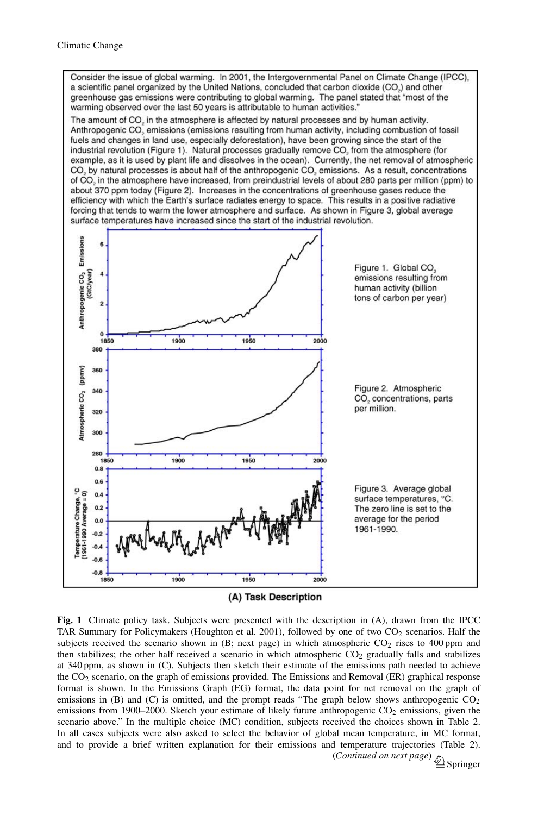Consider the issue of global warming. In 2001, the Intergovernmental Panel on Climate Change (IPCC). a scientific panel organized by the United Nations, concluded that carbon dioxide (CO.) and other greenhouse gas emissions were contributing to global warming. The panel stated that "most of the warming observed over the last 50 years is attributable to human activities."

The amount of CO, in the atmosphere is affected by natural processes and by human activity. Anthropogenic CO<sub>2</sub> emissions (emissions resulting from human activity, including combustion of fossil fuels and changes in land use, especially deforestation), have been growing since the start of the industrial revolution (Figure 1). Natural processes gradually remove CO, from the atmosphere (for example, as it is used by plant life and dissolves in the ocean). Currently, the net removal of atmospheric CO, by natural processes is about half of the anthropogenic CO, emissions. As a result, concentrations of CO, in the atmosphere have increased, from preindustrial levels of about 280 parts per million (ppm) to about 370 ppm today (Figure 2). Increases in the concentrations of greenhouse gases reduce the efficiency with which the Earth's surface radiates energy to space. This results in a positive radiative forcing that tends to warm the lower atmosphere and surface. As shown in Figure 3, global average surface temperatures have increased since the start of the industrial revolution.



(A) Task Description

**Fig. 1** Climate policy task. Subjects were presented with the description in (A), drawn from the IPCC TAR Summary for Policymakers (Houghton et al. 2001), followed by one of two  $CO<sub>2</sub>$  scenarios. Half the subjects received the scenario shown in  $(B; next page)$  in which atmospheric  $CO<sub>2</sub>$  rises to 400 ppm and then stabilizes; the other half received a scenario in which atmospheric  $CO<sub>2</sub>$  gradually falls and stabilizes at 340 ppm, as shown in (C). Subjects then sketch their estimate of the emissions path needed to achieve the CO2 scenario, on the graph of emissions provided. The Emissions and Removal (ER) graphical response format is shown. In the Emissions Graph (EG) format, the data point for net removal on the graph of emissions in  $(B)$  and  $(C)$  is omitted, and the prompt reads "The graph below shows anthropogenic  $CO<sub>2</sub>$ emissions from 1900–2000. Sketch your estimate of likely future anthropogenic  $CO<sub>2</sub>$  emissions, given the scenario above." In the multiple choice (MC) condition, subjects received the choices shown in Table 2. In all cases subjects were also asked to select the behavior of global mean temperature, in MC format, and to provide a brief written explanation for their emissions and temperature trajectories (Table 2). (*Continued on next page*)

 $\mathcal{Q}_{\text{Springer}}$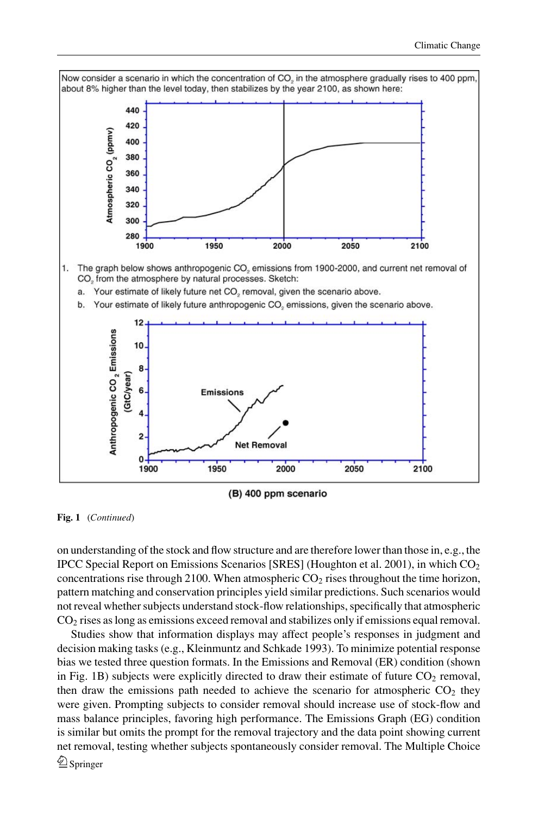



**Fig. 1** (*Continued*)

on understanding of the stock and flow structure and are therefore lower than those in, e.g., the IPCC Special Report on Emissions Scenarios [SRES] (Houghton et al. 2001), in which  $CO<sub>2</sub>$ concentrations rise through 2100. When atmospheric  $CO<sub>2</sub>$  rises throughout the time horizon, pattern matching and conservation principles yield similar predictions. Such scenarios would not reveal whether subjects understand stock-flow relationships, specifically that atmospheric CO2 rises aslong as emissions exceed removal and stabilizes only if emissions equal removal.

Studies show that information displays may affect people's responses in judgment and decision making tasks (e.g., Kleinmuntz and Schkade 1993). To minimize potential response bias we tested three question formats. In the Emissions and Removal (ER) condition (shown in Fig. 1B) subjects were explicitly directed to draw their estimate of future  $CO<sub>2</sub>$  removal, then draw the emissions path needed to achieve the scenario for atmospheric  $CO<sub>2</sub>$  they were given. Prompting subjects to consider removal should increase use of stock-flow and mass balance principles, favoring high performance. The Emissions Graph (EG) condition is similar but omits the prompt for the removal trajectory and the data point showing current net removal, testing whether subjects spontaneously consider removal. The Multiple Choice  $\mathcal{Q}_{\text{Springer}}$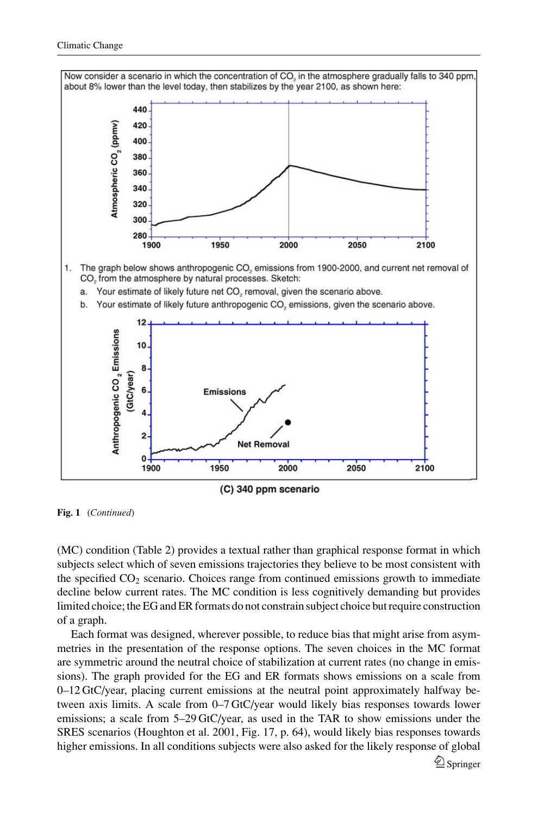

**Fig. 1** (*Continued*)

(MC) condition (Table 2) provides a textual rather than graphical response format in which subjects select which of seven emissions trajectories they believe to be most consistent with the specified  $CO<sub>2</sub>$  scenario. Choices range from continued emissions growth to immediate decline below current rates. The MC condition is less cognitively demanding but provides limited choice; the EG and ER formats do not constrain subject choice but require construction of a graph.

Each format was designed, wherever possible, to reduce bias that might arise from asymmetries in the presentation of the response options. The seven choices in the MC format are symmetric around the neutral choice of stabilization at current rates (no change in emissions). The graph provided for the EG and ER formats shows emissions on a scale from 0–12 GtC/year, placing current emissions at the neutral point approximately halfway between axis limits. A scale from 0–7 GtC/year would likely bias responses towards lower emissions; a scale from 5–29 GtC/year, as used in the TAR to show emissions under the SRES scenarios (Houghton et al. 2001, Fig. 17, p. 64), would likely bias responses towards higher emissions. In all conditions subjects were also asked for the likely response of global  $\mathcal{Q}_{\text{Springer}}$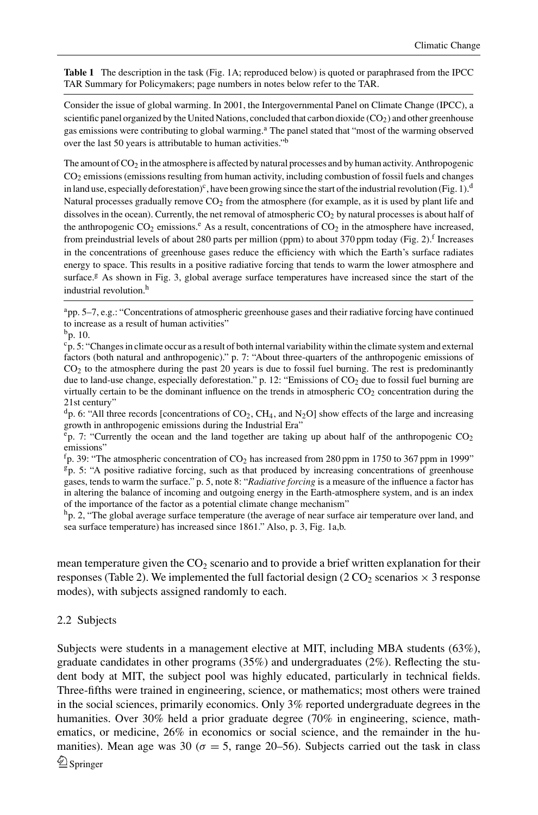**Table 1** The description in the task (Fig. 1A; reproduced below) is quoted or paraphrased from the IPCC TAR Summary for Policymakers; page numbers in notes below refer to the TAR.

Consider the issue of global warming. In 2001, the Intergovernmental Panel on Climate Change (IPCC), a scientific panel organized by the United Nations, concluded that carbon dioxide  $(CO<sub>2</sub>)$  and other greenhouse gas emissions were contributing to global warming.<sup>a</sup> The panel stated that "most of the warming observed over the last 50 years is attributable to human activities."<sup>b</sup>

The amount of CO<sub>2</sub> in the atmosphere is affected by natural processes and by human activity. Anthropogenic CO2 emissions (emissions resulting from human activity, including combustion of fossil fuels and changes in land use, especially deforestation)<sup>c</sup>, have been growing since the start of the industrial revolution (Fig. 1).<sup>d</sup> Natural processes gradually remove CO<sub>2</sub> from the atmosphere (for example, as it is used by plant life and dissolves in the ocean). Currently, the net removal of atmospheric  $CO<sub>2</sub>$  by natural processes is about half of the anthropogenic  $CO_2$  emissions.<sup>e</sup> As a result, concentrations of  $CO_2$  in the atmosphere have increased, from preindustrial levels of about 280 parts per million (ppm) to about 370 ppm today (Fig. 2).<sup>f</sup> Increases in the concentrations of greenhouse gases reduce the efficiency with which the Earth's surface radiates energy to space. This results in a positive radiative forcing that tends to warm the lower atmosphere and surface.<sup>g</sup> As shown in Fig. 3, global average surface temperatures have increased since the start of the industrial revolution.<sup>h</sup>

<sup>d</sup>p. 6: "All three records [concentrations of CO<sub>2</sub>, CH<sub>4</sub>, and N<sub>2</sub>O] show effects of the large and increasing

growth in anthropogenic emissions during the Industrial Era"<br> $e_p$ , 7: "Currently the ocean and the land together are taking up about half of the anthropogenic CO<sub>2</sub> emissions"

<sup>f</sup>p. 39: "The atmospheric concentration of CO<sub>2</sub> has increased from 280 ppm in 1750 to 367 ppm in 1999"  $\epsilon_{\rm p}$ , 5: "A positive radiative forcing, such as that produced by increasing concentrations of greenhouse gases, tends to warm the surface." p. 5, note 8: "*Radiative forcing* is a measure of the influence a factor has in altering the balance of incoming and outgoing energy in the Earth-atmosphere system, and is an index of the importance of the factor as a potential climate change mechanism"  $h_p$ , 2, "The global average surface temperature (the average of near surface air temperature over land, and

sea surface temperature) has increased since 1861." Also, p. 3, Fig. 1a,b.

mean temperature given the  $CO<sub>2</sub>$  scenario and to provide a brief written explanation for their responses (Table 2). We implemented the full factorial design (2 CO<sub>2</sub> scenarios  $\times$  3 response modes), with subjects assigned randomly to each.

# 2.2 Subjects

Subjects were students in a management elective at MIT, including MBA students (63%), graduate candidates in other programs  $(35%)$  and undergraduates  $(2%)$ . Reflecting the student body at MIT, the subject pool was highly educated, particularly in technical fields. Three-fifths were trained in engineering, science, or mathematics; most others were trained in the social sciences, primarily economics. Only 3% reported undergraduate degrees in the humanities. Over 30% held a prior graduate degree (70% in engineering, science, mathematics, or medicine, 26% in economics or social science, and the remainder in the humanities). Mean age was 30 ( $\sigma = 5$ , range 20–56). Subjects carried out the task in class  $\bigcirc$  Springer

<sup>&</sup>lt;sup>a</sup>pp. 5–7, e.g.: "Concentrations of atmospheric greenhouse gases and their radiative forcing have continued to increase as a result of human activities"

 $^{\text{b}}$ p. 10.<br><sup>c</sup>p. 5: "Changes in climate occur as a result of both internal variability within the climate system and external factors (both natural and anthropogenic)." p. 7: "About three-quarters of the anthropogenic emissions of  $CO<sub>2</sub>$  to the atmosphere during the past 20 years is due to fossil fuel burning. The rest is predominantly due to land-use change, especially deforestation."  $p. 12$ : "Emissions of  $CO<sub>2</sub>$  due to fossil fuel burning are virtually certain to be the dominant influence on the trends in atmospheric  $CO<sub>2</sub>$  concentration during the 21st century"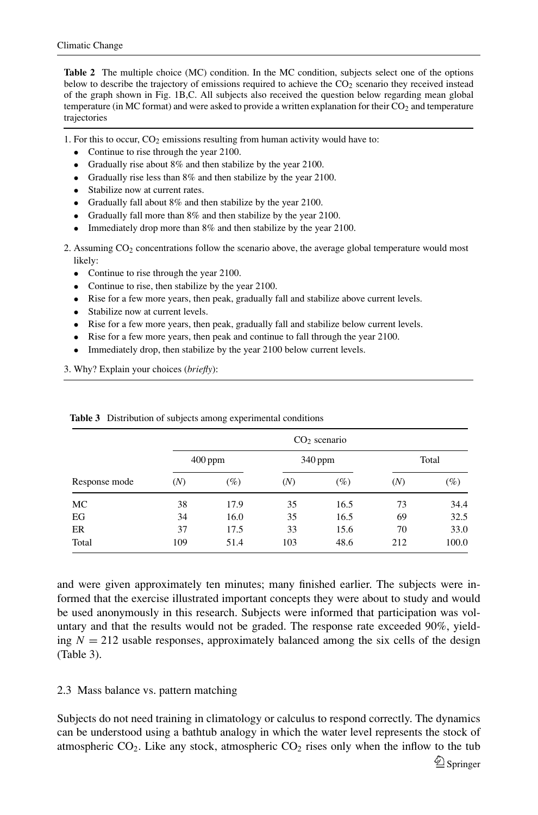**Table 2** The multiple choice (MC) condition. In the MC condition, subjects select one of the options below to describe the trajectory of emissions required to achieve the  $CO<sub>2</sub>$  scenario they received instead of the graph shown in Fig. 1B,C. All subjects also received the question below regarding mean global temperature (in MC format) and were asked to provide a written explanation for their  $CO<sub>2</sub>$  and temperature trajectories

1. For this to occur,  $CO<sub>2</sub>$  emissions resulting from human activity would have to:

- Continue to rise through the year 2100.
- Gradually rise about 8% and then stabilize by the year 2100.
- Gradually rise less than 8% and then stabilize by the year 2100.
- Stabilize now at current rates.
- Gradually fall about 8% and then stabilize by the year 2100.
- Gradually fall more than 8% and then stabilize by the year 2100.
- Immediately drop more than 8% and then stabilize by the year 2100.
- 2. Assuming CO<sub>2</sub> concentrations follow the scenario above, the average global temperature would most likely:
	- Continue to rise through the year 2100.
	- Continue to rise, then stabilize by the year 2100.
	- Rise for a few more years, then peak, gradually fall and stabilize above current levels.
	- Stabilize now at current levels.
	- Rise for a few more years, then peak, gradually fall and stabilize below current levels.
	- Rise for a few more years, then peak and continue to fall through the year 2100.
	- Immediately drop, then stabilize by the year 2100 below current levels.

3. Why? Explain your choices (*briefly*):

|               |     |           |     | $CO2$ scenario |     |        |
|---------------|-----|-----------|-----|----------------|-----|--------|
|               |     | $400$ ppm |     | $340$ ppm      |     | Total  |
| Response mode | (N) | $(\%)$    | (N) | $(\%)$         | (N) | $(\%)$ |
| МC            | 38  | 17.9      | 35  | 16.5           | 73  | 34.4   |
| EG            | 34  | 16.0      | 35  | 16.5           | 69  | 32.5   |
| ER            | 37  | 17.5      | 33  | 15.6           | 70  | 33.0   |
| Total         | 109 | 51.4      | 103 | 48.6           | 212 | 100.0  |

**Table 3** Distribution of subjects among experimental conditions

and were given approximately ten minutes; many finished earlier. The subjects were informed that the exercise illustrated important concepts they were about to study and would be used anonymously in this research. Subjects were informed that participation was voluntary and that the results would not be graded. The response rate exceeded 90%, yielding  $N = 212$  usable responses, approximately balanced among the six cells of the design (Table 3).

# 2.3 Mass balance vs. pattern matching

Subjects do not need training in climatology or calculus to respond correctly. The dynamics can be understood using a bathtub analogy in which the water level represents the stock of atmospheric  $CO<sub>2</sub>$ . Like any stock, atmospheric  $CO<sub>2</sub>$  rises only when the inflow to the tub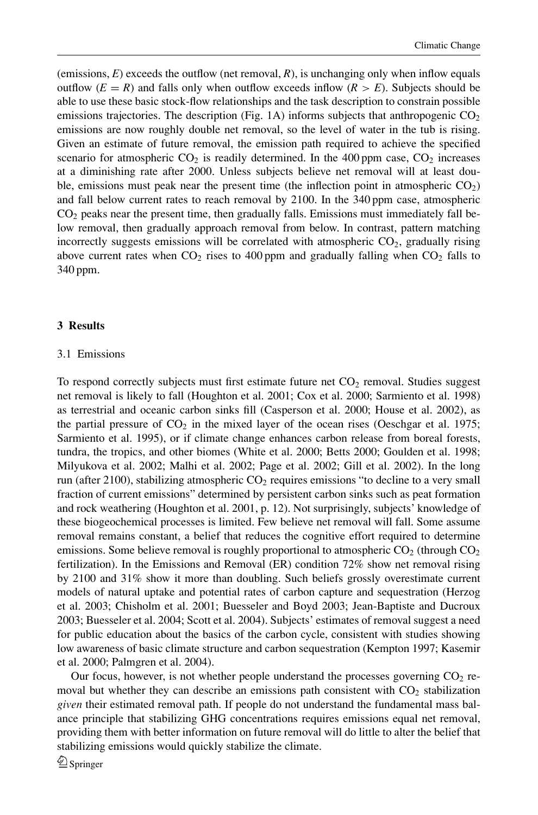(emissions,  $E$ ) exceeds the outflow (net removal,  $R$ ), is unchanging only when inflow equals outflow  $(E = R)$  and falls only when outflow exceeds inflow  $(R > E)$ . Subjects should be able to use these basic stock-flow relationships and the task description to constrain possible emissions trajectories. The description (Fig. 1A) informs subjects that anthropogenic  $CO<sub>2</sub>$ emissions are now roughly double net removal, so the level of water in the tub is rising. Given an estimate of future removal, the emission path required to achieve the specified scenario for atmospheric  $CO_2$  is readily determined. In the 400 ppm case,  $CO_2$  increases at a diminishing rate after 2000. Unless subjects believe net removal will at least double, emissions must peak near the present time (the inflection point in atmospheric  $CO<sub>2</sub>$ ) and fall below current rates to reach removal by 2100. In the 340 ppm case, atmospheric CO2 peaks near the present time, then gradually falls. Emissions must immediately fall below removal, then gradually approach removal from below. In contrast, pattern matching incorrectly suggests emissions will be correlated with atmospheric  $CO<sub>2</sub>$ , gradually rising above current rates when  $CO<sub>2</sub>$  rises to 400 ppm and gradually falling when  $CO<sub>2</sub>$  falls to 340 ppm.

#### **3 Results**

#### 3.1 Emissions

To respond correctly subjects must first estimate future net  $CO<sub>2</sub>$  removal. Studies suggest net removal is likely to fall (Houghton et al. 2001; Cox et al. 2000; Sarmiento et al. 1998) as terrestrial and oceanic carbon sinks fill (Casperson et al. 2000; House et al. 2002), as the partial pressure of  $CO<sub>2</sub>$  in the mixed layer of the ocean rises (Oeschgar et al. 1975; Sarmiento et al. 1995), or if climate change enhances carbon release from boreal forests, tundra, the tropics, and other biomes (White et al. 2000; Betts 2000; Goulden et al. 1998; Milyukova et al. 2002; Malhi et al. 2002; Page et al. 2002; Gill et al. 2002). In the long run (after 2100), stabilizing atmospheric  $CO<sub>2</sub>$  requires emissions "to decline to a very small fraction of current emissions" determined by persistent carbon sinks such as peat formation and rock weathering (Houghton et al. 2001, p. 12). Not surprisingly, subjects' knowledge of these biogeochemical processes is limited. Few believe net removal will fall. Some assume removal remains constant, a belief that reduces the cognitive effort required to determine emissions. Some believe removal is roughly proportional to atmospheric  $CO<sub>2</sub>$  (through  $CO<sub>2</sub>$ fertilization). In the Emissions and Removal (ER) condition 72% show net removal rising by 2100 and 31% show it more than doubling. Such beliefs grossly overestimate current models of natural uptake and potential rates of carbon capture and sequestration (Herzog et al. 2003; Chisholm et al. 2001; Buesseler and Boyd 2003; Jean-Baptiste and Ducroux 2003; Buesseler et al. 2004; Scott et al. 2004). Subjects' estimates of removal suggest a need for public education about the basics of the carbon cycle, consistent with studies showing low awareness of basic climate structure and carbon sequestration (Kempton 1997; Kasemir et al. 2000; Palmgren et al. 2004).

Our focus, however, is not whether people understand the processes governing  $CO<sub>2</sub>$  removal but whether they can describe an emissions path consistent with  $CO<sub>2</sub>$  stabilization *given* their estimated removal path. If people do not understand the fundamental mass balance principle that stabilizing GHG concentrations requires emissions equal net removal, providing them with better information on future removal will do little to alter the belief that stabilizing emissions would quickly stabilize the climate.

 $\textcircled{2}$ Springer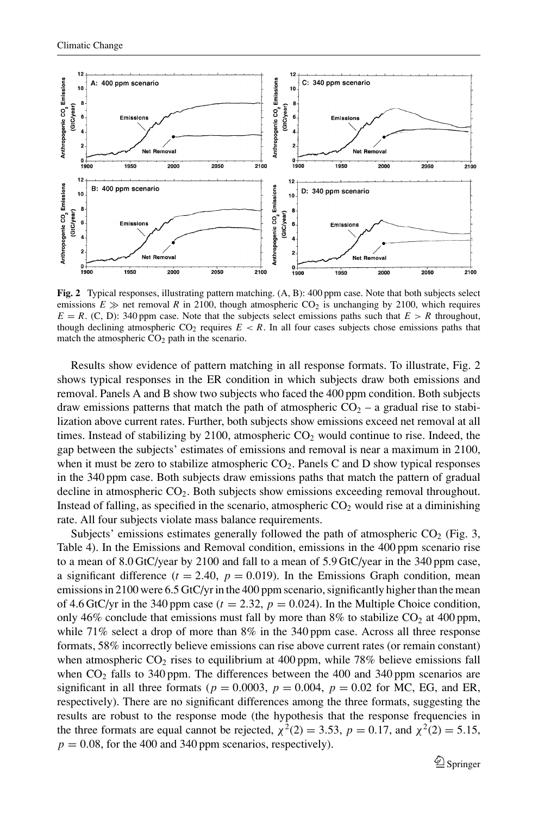

**Fig. 2** Typical responses, illustrating pattern matching. (A, B): 400 ppm case. Note that both subjects select emissions  $E \gg$  net removal *R* in 2100, though atmospheric CO<sub>2</sub> is unchanging by 2100, which requires  $E = R$ . (C, D): 340 ppm case. Note that the subjects select emissions paths such that  $E > R$  throughout, though declining atmospheric  $CO_2$  requires  $E \le R$ . In all four cases subjects chose emissions paths that match the atmospheric  $CO<sub>2</sub>$  path in the scenario.

Results show evidence of pattern matching in all response formats. To illustrate, Fig. 2 shows typical responses in the ER condition in which subjects draw both emissions and removal. Panels A and B show two subjects who faced the 400 ppm condition. Both subjects draw emissions patterns that match the path of atmospheric  $CO<sub>2</sub> - a$  gradual rise to stabilization above current rates. Further, both subjects show emissions exceed net removal at all times. Instead of stabilizing by 2100, atmospheric  $CO<sub>2</sub>$  would continue to rise. Indeed, the gap between the subjects' estimates of emissions and removal is near a maximum in 2100, when it must be zero to stabilize atmospheric  $CO<sub>2</sub>$ . Panels C and D show typical responses in the 340 ppm case. Both subjects draw emissions paths that match the pattern of gradual decline in atmospheric  $CO<sub>2</sub>$ . Both subjects show emissions exceeding removal throughout. Instead of falling, as specified in the scenario, atmospheric  $CO<sub>2</sub>$  would rise at a diminishing rate. All four subjects violate mass balance requirements.

Subjects' emissions estimates generally followed the path of atmospheric  $CO<sub>2</sub>$  (Fig. 3, Table 4). In the Emissions and Removal condition, emissions in the 400 ppm scenario rise to a mean of 8.0 GtC/year by 2100 and fall to a mean of 5.9 GtC/year in the 340 ppm case, a significant difference  $(t = 2.40, p = 0.019)$ . In the Emissions Graph condition, mean emissions in 2100 were 6.5 GtC/yr in the 400 ppm scenario, significantly higher than the mean of 4.6 GtC/yr in the 340 ppm case  $(t = 2.32, p = 0.024)$ . In the Multiple Choice condition, only 46% conclude that emissions must fall by more than 8% to stabilize  $CO<sub>2</sub>$  at 400 ppm, while 71% select a drop of more than 8% in the 340 ppm case. Across all three response formats, 58% incorrectly believe emissions can rise above current rates (or remain constant) when atmospheric  $CO<sub>2</sub>$  rises to equilibrium at 400 ppm, while 78% believe emissions fall when  $CO<sub>2</sub>$  falls to 340 ppm. The differences between the 400 and 340 ppm scenarios are significant in all three formats ( $p = 0.0003$ ,  $p = 0.004$ ,  $p = 0.02$  for MC, EG, and ER, respectively). There are no significant differences among the three formats, suggesting the results are robust to the response mode (the hypothesis that the response frequencies in the three formats are equal cannot be rejected,  $\chi^2(2) = 3.53$ ,  $p = 0.17$ , and  $\chi^2(2) = 5.15$ ,  $p = 0.08$ , for the 400 and 340 ppm scenarios, respectively).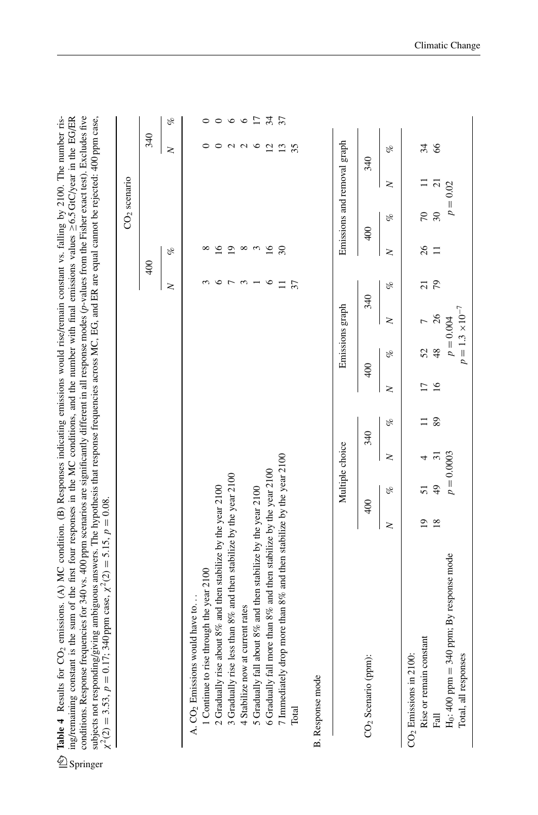Table 4 Results for CO<sub>2</sub> emissions. (A) MC condition. (B) Responses indicating emissions would rise/remain constant vs. falling by 2100. The number rising/remaining constant is the sum of the first four responses in the MC conditions, and the number with final emissions values >6.5 GtC/year in the EG/ER would rise/remain constant vs. falling by 2100. The number ris-≥6.5 GtC/year in the EG/ER conditions. Response frequencies for 340 vs. 400 ppm scenarios are significantly different in all response modes (*p*-values from the Fisher exact test). Excludes five subjects not responding/giving ambiguous answers. The hypothesis that response frequencies across MC, EG, and ER are equal cannot be rejected: 400 ppm case, ing/remaining constant is the sum of the first four responses in the MC conditions, and the number with final emissions values **Table 4** Results for CO<sub>2</sub> emissions. (A) MC condition. (B) Responses indicating emissions  $= 5.15, p = 0.08.$  $=$  3.53,  $p = 0.17$ ; 340 ppm case,  $\chi^2(2)$  $\chi^2(2)$  $\underline{\textcircled{\tiny 2}}$  Springer

|                                                                                                                                                                                |                 |                |                 |          |                |               |                          |                |                 | CO <sub>2</sub> scenario |                             |                   |         |
|--------------------------------------------------------------------------------------------------------------------------------------------------------------------------------|-----------------|----------------|-----------------|----------|----------------|---------------|--------------------------|----------------|-----------------|--------------------------|-----------------------------|-------------------|---------|
|                                                                                                                                                                                |                 |                |                 |          |                |               |                          |                | $\frac{1}{2}$   |                          |                             | 340               |         |
|                                                                                                                                                                                |                 |                |                 |          |                |               |                          | $\geq$         | of              |                          |                             | $\geq$            | of      |
| A. CO <sub>2</sub> Emissions would have to                                                                                                                                     |                 |                |                 |          |                |               |                          |                |                 |                          |                             |                   |         |
|                                                                                                                                                                                |                 |                |                 |          |                |               |                          |                | ${}^{\circ}$    |                          |                             |                   |         |
|                                                                                                                                                                                |                 |                |                 |          |                |               |                          |                | ⊵               |                          |                             |                   | $\circ$ |
| 1 Continue to rise through the year 2100<br>2 Gradually rise about 8% and then stabilize by the year 2100<br>3 Gradually rise less than 8% and then stabilize by the year 2100 |                 |                |                 |          |                |               |                          | r              | $\circ$         |                          |                             | $\mathbf{\Omega}$ | ७       |
|                                                                                                                                                                                |                 |                |                 |          |                |               |                          | $\mathfrak{g}$ | $\infty$        |                          |                             | $\mathbf{C}$      | $\circ$ |
| 4 Stabilize now at current rates<br>5 Gradually fall about $8\%$ and then stabilize by the year 2100                                                                           |                 |                |                 |          |                |               |                          |                |                 |                          |                             | ৩                 | Ξ       |
| 6 Gradually fall more than 8% and then stabilize by the year 2100                                                                                                              |                 |                |                 |          |                |               |                          |                | $\overline{16}$ |                          |                             | 2                 | 34      |
| more than 8% and then stabilize by the year 2100<br>7 Immediately drop                                                                                                         |                 |                |                 |          |                |               |                          |                | 30              |                          |                             | 13                | 37      |
| Total                                                                                                                                                                          |                 |                |                 |          |                |               |                          | 37             |                 |                          |                             | 35                |         |
| B. Response mode                                                                                                                                                               |                 |                |                 |          |                |               |                          |                |                 |                          |                             |                   |         |
|                                                                                                                                                                                |                 |                | Multiple choice |          |                |               | Emissions graph          |                |                 |                          | Emissions and removal graph |                   |         |
| CO <sub>2</sub> Scenario (ppm):                                                                                                                                                |                 | $\frac{40}{5}$ |                 | 340      | $rac{40}{\pi}$ |               |                          | 340            | $rac{40}{5}$    |                          | 340                         |                   |         |
|                                                                                                                                                                                | z               | B,             | $\geq$          | of       | z              | ofo           | z                        | of             | $\geq$          | B,                       | $\geq$                      | of                |         |
| $CO2$ Emissions in 2100:                                                                                                                                                       | $\overline{9}$  | 5              | 4               |          |                | 52            |                          | $\overline{z}$ | 26              | 50                       |                             |                   |         |
| Rise or remain constant                                                                                                                                                        |                 |                |                 | $\equiv$ |                |               |                          |                |                 |                          |                             | 34                |         |
| Fall                                                                                                                                                                           | $\overline{18}$ | 49             | ಸ               | 89       | 16             | $\frac{8}{3}$ | 26                       | $\mathcal{E}$  | $\Box$          | $\mathfrak{D}$           |                             | 66                |         |
| $H_0: 400$ ppm = 340 ppm; By response mode                                                                                                                                     |                 |                | $p = 0.0003$    |          |                |               | $p = 0.004$              |                |                 |                          | $p=0.02$                    |                   |         |
| Total, all responses                                                                                                                                                           |                 |                |                 |          |                |               | $p = 1.3 \times 10^{-7}$ |                |                 |                          |                             |                   |         |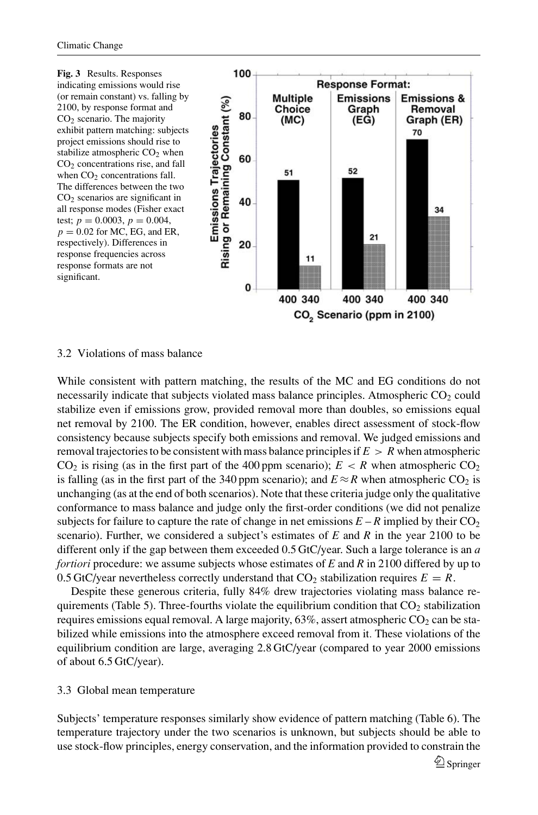

### 3.2 Violations of mass balance

While consistent with pattern matching, the results of the MC and EG conditions do not necessarily indicate that subjects violated mass balance principles. Atmospheric  $CO<sub>2</sub>$  could stabilize even if emissions grow, provided removal more than doubles, so emissions equal net removal by 2100. The ER condition, however, enables direct assessment of stock-flow consistency because subjects specify both emissions and removal. We judged emissions and removal trajectories to be consistent with mass balance principles if  $E > R$  when atmospheric  $CO<sub>2</sub>$  is rising (as in the first part of the 400 ppm scenario);  $E < R$  when atmospheric  $CO<sub>2</sub>$ is falling (as in the first part of the 340 ppm scenario); and  $E \approx R$  when atmospheric CO<sub>2</sub> is unchanging (as at the end of both scenarios). Note that these criteria judge only the qualitative conformance to mass balance and judge only the first-order conditions (we did not penalize subjects for failure to capture the rate of change in net emissions  $E - R$  implied by their  $CO<sub>2</sub>$ scenario). Further, we considered a subject's estimates of *E* and *R* in the year 2100 to be different only if the gap between them exceeded 0.5 GtC/year. Such a large tolerance is an *a fortiori* procedure: we assume subjects whose estimates of *E* and *R* in 2100 differed by up to 0.5 GtC/year nevertheless correctly understand that  $CO<sub>2</sub>$  stabilization requires  $E = R$ .

Despite these generous criteria, fully 84% drew trajectories violating mass balance requirements (Table 5). Three-fourths violate the equilibrium condition that  $CO<sub>2</sub>$  stabilization requires emissions equal removal. A large majority,  $63\%$ , assert atmospheric  $CO<sub>2</sub>$  can be stabilized while emissions into the atmosphere exceed removal from it*.* These violations of the equilibrium condition are large, averaging 2.8 GtC/year (compared to year 2000 emissions of about 6.5 GtC/year).

#### 3.3 Global mean temperature

Subjects' temperature responses similarly show evidence of pattern matching (Table 6). The temperature trajectory under the two scenarios is unknown, but subjects should be able to use stock-flow principles, energy conservation, and the information provided to constrain the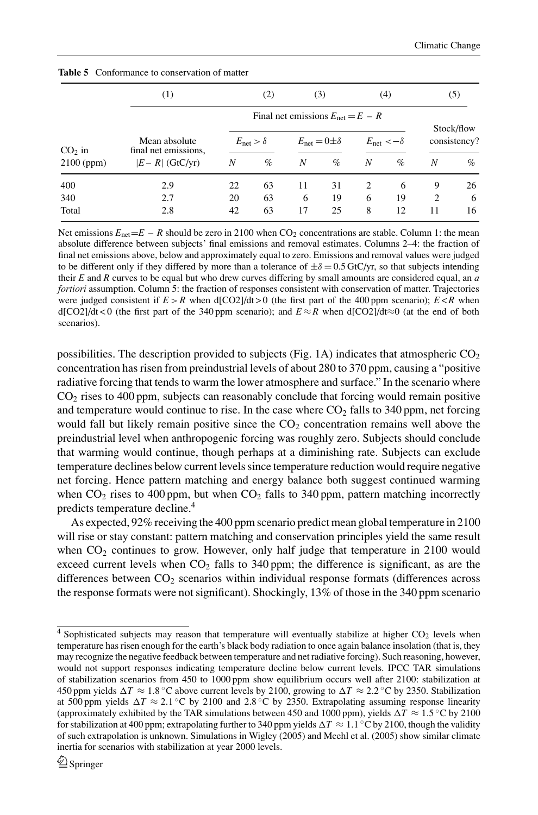|            | (1)                                   |    | (2)                       |                                              | (3)                             |   | (4)                        |    | (5)          |  |
|------------|---------------------------------------|----|---------------------------|----------------------------------------------|---------------------------------|---|----------------------------|----|--------------|--|
|            |                                       |    |                           | Final net emissions $E_{\text{net}} = E - R$ |                                 |   |                            |    | Stock/flow   |  |
| $CO2$ in   | Mean absolute<br>final net emissions, |    | $E_{\text{net}} > \delta$ |                                              | $E_{\text{net}} = 0 \pm \delta$ |   | $E_{\text{net}} < -\delta$ |    | consistency? |  |
| 2100 (ppm) | $ E - R $ (GtC/yr)                    | N  | $\%$                      | N                                            | $\%$                            | N | $\%$                       | N  | $\%$         |  |
| 400        | 2.9                                   | 22 | 63                        | 11                                           | 31                              | 2 | 6                          | 9  | 26           |  |
| 340        | 2.7                                   | 20 | 63                        | 6                                            | 19                              | 6 | 19                         | 2  | 6            |  |
| Total      | 2.8                                   | 42 | 63                        | 17                                           | 25                              | 8 | 12                         | 11 | 16           |  |

#### **Table 5** Conformance to conservation of matter

Net emissions  $E_{\text{net}}=E-R$  should be zero in 2100 when CO<sub>2</sub> concentrations are stable. Column 1: the mean absolute difference between subjects' final emissions and removal estimates. Columns 2–4: the fraction of final net emissions above, below and approximately equal to zero. Emissions and removal values were judged to be different only if they differed by more than a tolerance of  $\pm \delta = 0.5$  GtC/yr, so that subjects intending their *E* and *R* curves to be equal but who drew curves differing by small amounts are considered equal, an *a fortiori* assumption. Column 5: the fraction of responses consistent with conservation of matter. Trajectories were judged consistent if  $E > R$  when d[CO2]/dt > 0 (the first part of the 400 ppm scenario);  $E < R$  when d[CO2]/dt < 0 (the first part of the 340 ppm scenario); and *E* ≈ *R* when d[CO2]/dt≈0 (at the end of both scenarios).

possibilities. The description provided to subjects (Fig. 1A) indicates that atmospheric  $CO<sub>2</sub>$ concentration hasrisen from preindustrial levels of about 280 to 370 ppm, causing a "positive radiative forcing that tends to warm the lower atmosphere and surface." In the scenario where CO2 rises to 400 ppm, subjects can reasonably conclude that forcing would remain positive and temperature would continue to rise. In the case where  $CO<sub>2</sub>$  falls to 340 ppm, net forcing would fall but likely remain positive since the  $CO<sub>2</sub>$  concentration remains well above the preindustrial level when anthropogenic forcing was roughly zero. Subjects should conclude that warming would continue, though perhaps at a diminishing rate. Subjects can exclude temperature declines below current levelssince temperature reduction would require negative net forcing. Hence pattern matching and energy balance both suggest continued warming when  $CO<sub>2</sub>$  rises to 400 ppm, but when  $CO<sub>2</sub>$  falls to 340 ppm, pattern matching incorrectly predicts temperature decline.<sup>4</sup>

As expected, 92% receiving the 400 ppm scenario predict mean global temperature in 2100 will rise or stay constant: pattern matching and conservation principles yield the same result when  $CO<sub>2</sub>$  continues to grow. However, only half judge that temperature in 2100 would exceed current levels when  $CO<sub>2</sub>$  falls to 340 ppm; the difference is significant, as are the differences between  $CO<sub>2</sub>$  scenarios within individual response formats (differences across the response formats were notsignificant). Shockingly, 13% of those in the 340 ppm scenario

 $4$  Sophisticated subjects may reason that temperature will eventually stabilize at higher CO<sub>2</sub> levels when temperature has risen enough for the earth's black body radiation to once again balance insolation (that is, they may recognize the negative feedback between temperature and net radiative forcing). Such reasoning, however, would not support responses indicating temperature decline below current levels. IPCC TAR simulations of stabilization scenarios from 450 to 1000 ppm show equilibrium occurs well after 2100: stabilization at 450 ppm yields  $\Delta T \approx 1.8 \degree$ C above current levels by 2100, growing to  $\Delta T \approx 2.2 \degree$ C by 2350. Stabilization at 500 ppm yields  $\Delta T \approx 2.1$  °C by 2100 and 2.8 °C by 2350. Extrapolating assuming response linearity (approximately exhibited by the TAR simulations between 450 and 1000 ppm), yields  $\Delta T \approx 1.5 \degree \text{C}$  by 2100 for stabilization at 400 ppm; extrapolating further to 340 ppm yields  $\Delta T \approx 1.1 \degree$ C by 2100, though the validity of such extrapolation is unknown. Simulations in Wigley (2005) and Meehl et al. (2005) show similar climate inertia for scenarios with stabilization at year 2000 levels.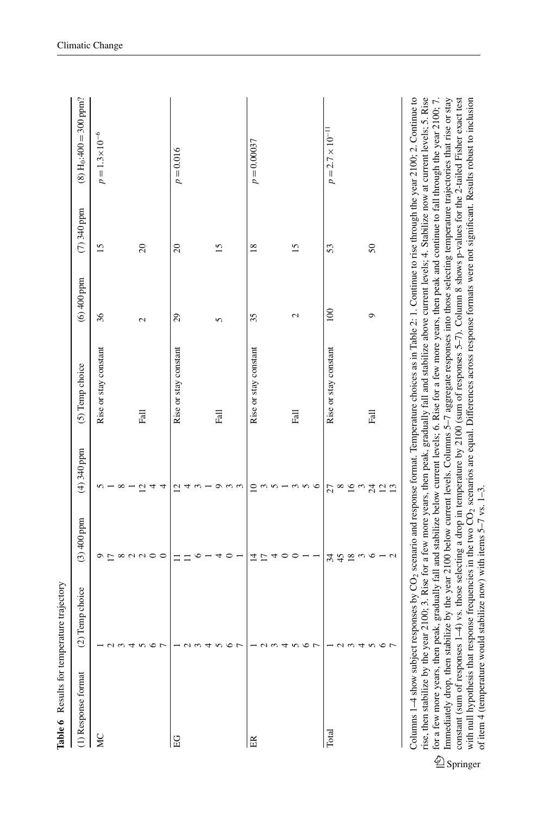| Table 6 Results for temperature trajectory                                                                                                                                         |                 |                          |                                 |                       |                   |                 |                                      |
|------------------------------------------------------------------------------------------------------------------------------------------------------------------------------------|-----------------|--------------------------|---------------------------------|-----------------------|-------------------|-----------------|--------------------------------------|
| (1) Response format                                                                                                                                                                | (2) Temp choice | $(3)$ 400 ppm            | $(4)$ 340 ppm                   | (5) Temp choice       | $(6) 400$ ppm     | $(7)$ 340 ppm   | $(8)$ H <sub>0</sub> :400 = 300 ppm? |
| S                                                                                                                                                                                  |                 |                          | 5                               | Rise or stay constant | 36                | $\overline{15}$ | $p = 1.3 \times 10^{-6}$             |
|                                                                                                                                                                                    |                 | $O1$ $\approx$ $O1$ $O2$ |                                 |                       |                   |                 |                                      |
|                                                                                                                                                                                    |                 |                          | $\cdot$ $\infty$                |                       |                   |                 |                                      |
|                                                                                                                                                                                    |                 |                          |                                 |                       |                   |                 |                                      |
|                                                                                                                                                                                    |                 |                          | $\overline{c}$                  | $_{\rm{FeII}}$        | $\mathbf{c}$      | $20\,$          |                                      |
|                                                                                                                                                                                    |                 |                          | 4                               |                       |                   |                 |                                      |
|                                                                                                                                                                                    |                 |                          | 4                               |                       |                   |                 |                                      |
| E                                                                                                                                                                                  |                 |                          | 7                               | Rise or stay constant | $\mathfrak{S}$    | $\Omega$        | $p = 0.016$                          |
|                                                                                                                                                                                    |                 | Ξ                        | 4                               |                       |                   |                 |                                      |
|                                                                                                                                                                                    |                 | $\circ$                  |                                 |                       |                   |                 |                                      |
|                                                                                                                                                                                    |                 |                          |                                 |                       |                   |                 |                                      |
|                                                                                                                                                                                    |                 | 4                        |                                 | $_{\rm{FeII}}$        | 5                 | $\overline{15}$ |                                      |
|                                                                                                                                                                                    |                 | $\circ$                  | $m - 9m$                        |                       |                   |                 |                                      |
|                                                                                                                                                                                    |                 |                          |                                 |                       |                   |                 |                                      |
| 臣                                                                                                                                                                                  |                 |                          |                                 | Rise or stay constant | 35                | $\overline{18}$ | $p = 0.00037$                        |
|                                                                                                                                                                                    |                 | $\frac{4}{7}$            | $\overline{a}$ a $\overline{a}$ |                       |                   |                 |                                      |
|                                                                                                                                                                                    |                 | 4                        |                                 |                       |                   |                 |                                      |
|                                                                                                                                                                                    |                 | $\circ$                  |                                 |                       |                   |                 |                                      |
|                                                                                                                                                                                    |                 |                          | $\frac{1}{2}$ 3 $\frac{1}{2}$   | Fall                  | 2                 | $\overline{15}$ |                                      |
|                                                                                                                                                                                    |                 |                          |                                 |                       |                   |                 |                                      |
|                                                                                                                                                                                    |                 |                          |                                 |                       |                   |                 |                                      |
| Total                                                                                                                                                                              |                 |                          |                                 | Rise or stay constant | 100               | 53              | $p = 2.7 \times 10^{-11}$            |
|                                                                                                                                                                                    |                 |                          |                                 |                       |                   |                 |                                      |
|                                                                                                                                                                                    |                 | $749900 -$               | 5°99722                         |                       |                   |                 |                                      |
|                                                                                                                                                                                    |                 |                          |                                 |                       |                   |                 |                                      |
|                                                                                                                                                                                    |                 |                          |                                 | $_{\rm{Fall}}$        | $\mathbf{\sigma}$ | 50              |                                      |
|                                                                                                                                                                                    |                 |                          |                                 |                       |                   |                 |                                      |
|                                                                                                                                                                                    |                 | $\frac{1}{2}$            |                                 |                       |                   |                 |                                      |
| Columns $1-4$ show subject responses by CO <sub>2</sub> scenario and response format. Temperature choices as in Table 2: 1. Continue to rise through the year 2100: 2. Continue to |                 |                          |                                 |                       |                   |                 |                                      |

Immediately drop, then stabilize by the year 2100 below current levels. Columns 5–7 aggregate responses into those selecting temperature trajectories that rise or stay<br>constant (sum of responses 1–4) vs. those selecting a with null hypothesis that response frequencies in the two CO<sub>2</sub> scenarios are equal. Differences across response formats were not significant. Results robust to inclusion constant (sum of responses  $1-4$ ) vs. those selecting a drop in temperature by 2100 (sum of responses 5–7). Column 8 shows p-values for the 2-tailed Fisher exact test O2 scenarios are equal. Differences across response formats were not significant. Results robust to inclusion Table 2: 1. Continue to rise through the year 2100; 2. Continue to at current levels; 5. Rise more years, then peak and continue to fall through the year 2100; 7. current levels. Columns 5–7 aggregate responses into those selecting temperature trajectories that rise or stay w more years, then peak, gradually fall and stabilize above current levels; 4. Stabilize no .<br>d Temperature choices as in w current levels; 6. Rise for a fe гоппас. тептрета w subject responses by  $CO<sub>2</sub>$  scenario and response format. of item 4 (temperature would stabilize now) with items 5-7 vs. 1-3. would stabilize now) with items  $5-7$  vs.  $1-3$ . no and respons w more years, then peak, gradually fall and stabilize belo with null hypothesis that response frequencies in the two C Immediately drop, then stabilize by the year 2100 belo wrise, then stabilize by the year 2100; 3. Rise for a fe ž 5 subject respon of item 4 (temperature **CITED TO COLUM** for a fe w $\hat{Z}$  Springer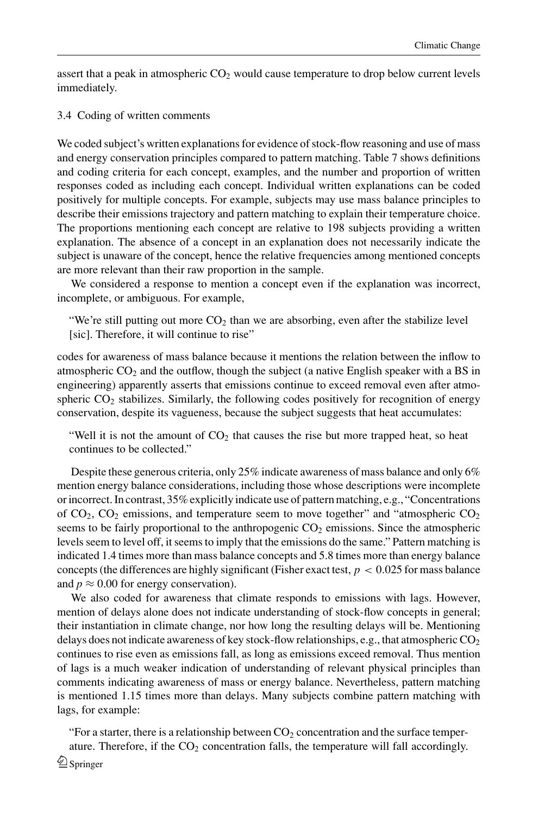assert that a peak in atmospheric  $CO<sub>2</sub>$  would cause temperature to drop below current levels immediately.

3.4 Coding of written comments

We coded subject's written explanations for evidence of stock-flow reasoning and use of mass and energy conservation principles compared to pattern matching. Table 7 shows definitions and coding criteria for each concept, examples, and the number and proportion of written responses coded as including each concept. Individual written explanations can be coded positively for multiple concepts. For example, subjects may use mass balance principles to describe their emissions trajectory and pattern matching to explain their temperature choice. The proportions mentioning each concept are relative to 198 subjects providing a written explanation. The absence of a concept in an explanation does not necessarily indicate the subject is unaware of the concept, hence the relative frequencies among mentioned concepts are more relevant than their raw proportion in the sample.

We considered a response to mention a concept even if the explanation was incorrect, incomplete, or ambiguous. For example,

"We're still putting out more  $CO<sub>2</sub>$  than we are absorbing, even after the stabilize level [sic]. Therefore, it will continue to rise"

codes for awareness of mass balance because it mentions the relation between the inflow to atmospheric  $CO<sub>2</sub>$  and the outflow, though the subject (a native English speaker with a BS in engineering) apparently asserts that emissions continue to exceed removal even after atmospheric  $CO<sub>2</sub>$  stabilizes. Similarly, the following codes positively for recognition of energy conservation, despite its vagueness, because the subject suggests that heat accumulates:

"Well it is not the amount of  $CO<sub>2</sub>$  that causes the rise but more trapped heat, so heat continues to be collected."

Despite these generous criteria, only 25% indicate awareness of mass balance and only 6% mention energy balance considerations, including those whose descriptions were incomplete orincorrect.In contrast, 35% explicitly indicate use of patternmatching, e.g., "Concentrations of  $CO<sub>2</sub>$ ,  $CO<sub>2</sub>$  emissions, and temperature seem to move together" and "atmospheric  $CO<sub>2</sub>$ seems to be fairly proportional to the anthropogenic  $CO<sub>2</sub>$  emissions. Since the atmospheric levels seem to level off, it seems to imply that the emissions do the same." Pattern matching is indicated 1.4 times more than mass balance concepts and 5.8 times more than energy balance concepts (the differences are highly significant (Fisher exact test,  $p < 0.025$  for mass balance and  $p \approx 0.00$  for energy conservation).

We also coded for awareness that climate responds to emissions with lags. However, mention of delays alone does not indicate understanding of stock-flow concepts in general; their instantiation in climate change, nor how long the resulting delays will be. Mentioning delays does not indicate awareness of key stock-flow relationships, e.g., that atmospheric  $CO<sub>2</sub>$ continues to rise even as emissions fall, as long as emissions exceed removal. Thus mention of lags is a much weaker indication of understanding of relevant physical principles than comments indicating awareness of mass or energy balance. Nevertheless, pattern matching is mentioned 1.15 times more than delays. Many subjects combine pattern matching with lags, for example:

"For a starter, there is a relationship between  $CO<sub>2</sub>$  concentration and the surface temperature. Therefore, if the  $CO<sub>2</sub>$  concentration falls, the temperature will fall accordingly.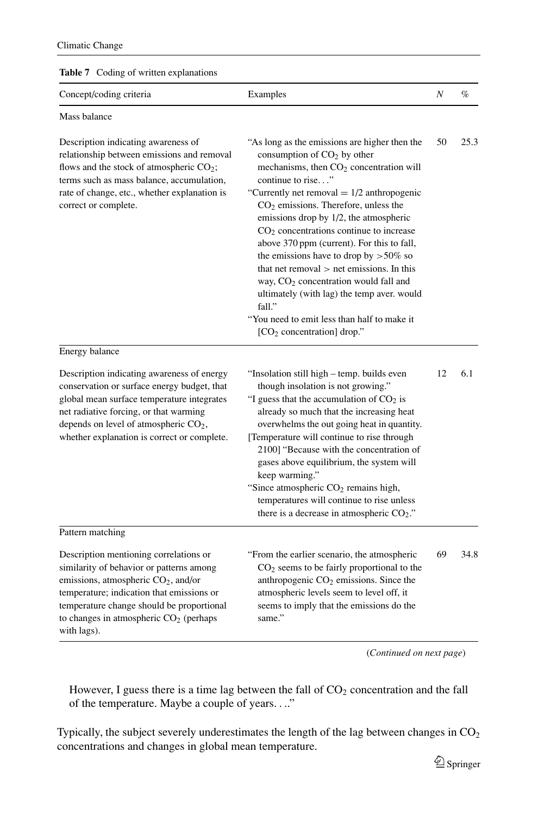| Concept/coding criteria                                                                                                                                                                                                                                                                    | Examples                                                                                                                                                                                                                                                                                                                                                                                                                                                                                                                                                                                                                                                                                   | N  | $\%$ |
|--------------------------------------------------------------------------------------------------------------------------------------------------------------------------------------------------------------------------------------------------------------------------------------------|--------------------------------------------------------------------------------------------------------------------------------------------------------------------------------------------------------------------------------------------------------------------------------------------------------------------------------------------------------------------------------------------------------------------------------------------------------------------------------------------------------------------------------------------------------------------------------------------------------------------------------------------------------------------------------------------|----|------|
| Mass balance                                                                                                                                                                                                                                                                               |                                                                                                                                                                                                                                                                                                                                                                                                                                                                                                                                                                                                                                                                                            |    |      |
| Description indicating awareness of<br>relationship between emissions and removal<br>flows and the stock of atmospheric CO <sub>2</sub> ;<br>terms such as mass balance, accumulation,<br>rate of change, etc., whether explanation is<br>correct or complete.                             | "As long as the emissions are higher then the<br>consumption of CO <sub>2</sub> by other<br>mechanisms, then CO <sub>2</sub> concentration will<br>continue to rise"<br>"Currently net removal $= 1/2$ anthropogenic<br>$CO2$ emissions. Therefore, unless the<br>emissions drop by 1/2, the atmospheric<br>$CO2$ concentrations continue to increase<br>above 370 ppm (current). For this to fall,<br>the emissions have to drop by $>50\%$ so<br>that net removal $>$ net emissions. In this<br>way, $CO2$ concentration would fall and<br>ultimately (with lag) the temp aver. would<br>fall."<br>"You need to emit less than half to make it<br>[CO <sub>2</sub> concentration] drop." | 50 | 25.3 |
| Energy balance                                                                                                                                                                                                                                                                             |                                                                                                                                                                                                                                                                                                                                                                                                                                                                                                                                                                                                                                                                                            |    |      |
| Description indicating awareness of energy<br>conservation or surface energy budget, that<br>global mean surface temperature integrates<br>net radiative forcing, or that warming<br>depends on level of atmospheric CO <sub>2</sub> ,<br>whether explanation is correct or complete.      | "Insolation still high - temp. builds even<br>though insolation is not growing."<br>"I guess that the accumulation of $CO2$ is<br>already so much that the increasing heat<br>overwhelms the out going heat in quantity.<br>[Temperature will continue to rise through<br>2100] "Because with the concentration of<br>gases above equilibrium, the system will<br>keep warming."<br>"Since atmospheric CO <sub>2</sub> remains high,<br>temperatures will continue to rise unless<br>there is a decrease in atmospheric $CO2$ ."                                                                                                                                                           | 12 | 6.1  |
| Pattern matching                                                                                                                                                                                                                                                                           |                                                                                                                                                                                                                                                                                                                                                                                                                                                                                                                                                                                                                                                                                            |    |      |
| Description mentioning correlations or<br>similarity of behavior or patterns among<br>emissions, atmospheric $CO2$ , and/or<br>temperature; indication that emissions or<br>temperature change should be proportional<br>to changes in atmospheric CO <sub>2</sub> (perhaps<br>with lags). | "From the earlier scenario, the atmospheric<br>$CO2$ seems to be fairly proportional to the<br>anthropogenic $CO2$ emissions. Since the<br>atmospheric levels seem to level off, it<br>seems to imply that the emissions do the<br>same."                                                                                                                                                                                                                                                                                                                                                                                                                                                  | 69 | 34.8 |

(*Continued on next page*)

However, I guess there is a time lag between the fall of CO<sub>2</sub> concentration and the fall of the temperature. Maybe a couple of years. . .."

Typically, the subject severely underestimates the length of the lag between changes in  $CO<sub>2</sub>$ concentrations and changes in global mean temperature.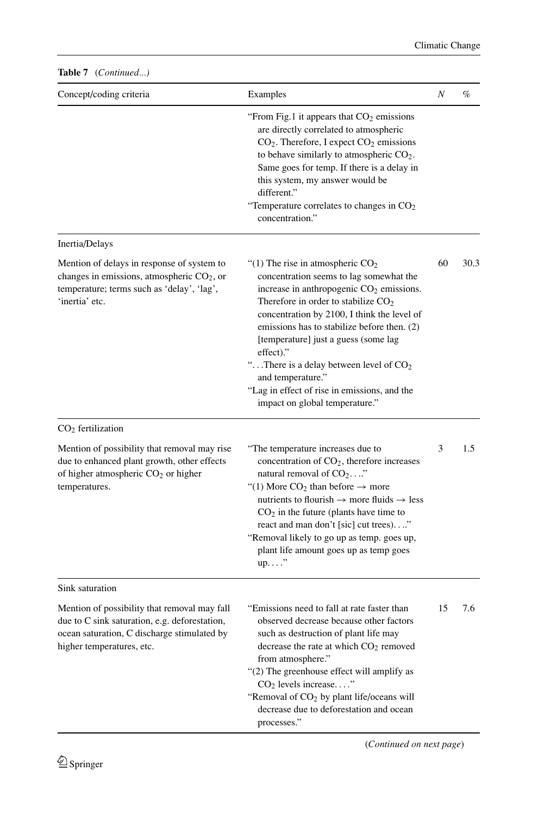| Table 7 (Continued)                                                                                                                                                       |                                                                                                                                                                                                                                                                                                                                                                                                                                                                                      |    |      |
|---------------------------------------------------------------------------------------------------------------------------------------------------------------------------|--------------------------------------------------------------------------------------------------------------------------------------------------------------------------------------------------------------------------------------------------------------------------------------------------------------------------------------------------------------------------------------------------------------------------------------------------------------------------------------|----|------|
| Concept/coding criteria                                                                                                                                                   | Examples                                                                                                                                                                                                                                                                                                                                                                                                                                                                             | N  | %    |
|                                                                                                                                                                           | "From Fig.1 it appears that $CO2$ emissions"<br>are directly correlated to atmospheric<br>$CO2$ . Therefore, I expect $CO2$ emissions<br>to behave similarly to atmospheric $CO2$ .<br>Same goes for temp. If there is a delay in<br>this system, my answer would be<br>different."<br>"Temperature correlates to changes in $CO2$<br>concentration."                                                                                                                                |    |      |
| Inertia/Delays                                                                                                                                                            |                                                                                                                                                                                                                                                                                                                                                                                                                                                                                      |    |      |
| Mention of delays in response of system to<br>changes in emissions, atmospheric CO <sub>2</sub> , or<br>temperature; terms such as 'delay', 'lag',<br>'inertia' etc.      | "(1) The rise in atmospheric $CO2$<br>concentration seems to lag somewhat the<br>increase in anthropogenic CO <sub>2</sub> emissions.<br>Therefore in order to stabilize $CO2$<br>concentration by 2100, I think the level of<br>emissions has to stabilize before then. (2)<br>[temperature] just a guess (some lag<br>effect)."<br>"There is a delay between level of $CO2$<br>and temperature."<br>"Lag in effect of rise in emissions, and the<br>impact on global temperature." | 60 | 30.3 |
| $CO2$ fertilization                                                                                                                                                       |                                                                                                                                                                                                                                                                                                                                                                                                                                                                                      |    |      |
| Mention of possibility that removal may rise<br>due to enhanced plant growth, other effects<br>of higher atmospheric $CO2$ or higher<br>temperatures.                     | "The temperature increases due to<br>concentration of $CO2$ , therefore increases<br>natural removal of $CO_2$ "<br>"(1) More $CO2$ than before $\rightarrow$ more<br>nutrients to flourish $\rightarrow$ more fluids $\rightarrow$ less<br>$CO2$ in the future (plants have time to<br>react and man don't [sic] cut trees)"<br>"Removal likely to go up as temp. goes up,<br>plant life amount goes up as temp goes<br>$up.$ "                                                     | 3  | 1.5  |
| Sink saturation                                                                                                                                                           |                                                                                                                                                                                                                                                                                                                                                                                                                                                                                      |    |      |
| Mention of possibility that removal may fall<br>due to C sink saturation, e.g. deforestation,<br>ocean saturation, C discharge stimulated by<br>higher temperatures, etc. | "Emissions need to fall at rate faster than<br>observed decrease because other factors<br>such as destruction of plant life may<br>decrease the rate at which CO <sub>2</sub> removed<br>from atmosphere."<br>"(2) The greenhouse effect will amplify as<br>$CO2$ levels increase"<br>"Removal of CO <sub>2</sub> by plant life/oceans will<br>decrease due to deforestation and ocean<br>processes."                                                                                | 15 | 7.6  |

(*Continued on next page*)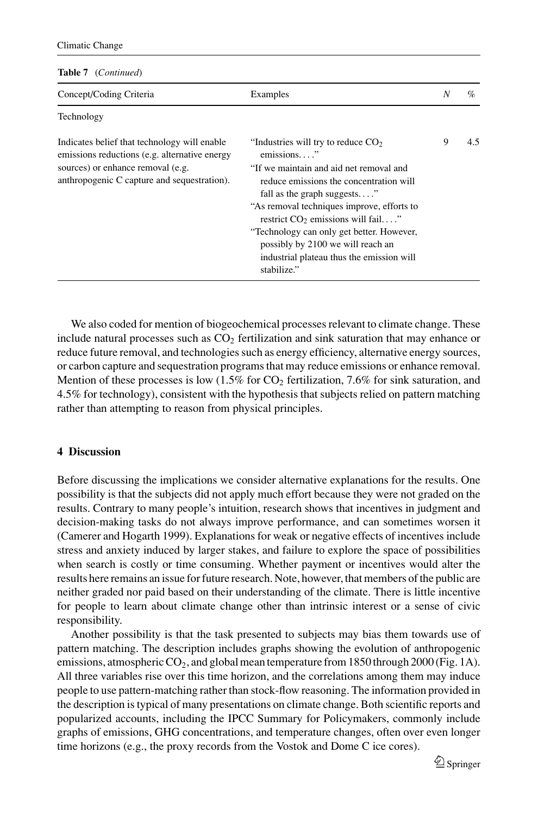| <b>Table 7</b> (Continued)                                                                                                                                                        |                                                                                                                                                                                                                                                                                                                                                                                                                      |   |      |
|-----------------------------------------------------------------------------------------------------------------------------------------------------------------------------------|----------------------------------------------------------------------------------------------------------------------------------------------------------------------------------------------------------------------------------------------------------------------------------------------------------------------------------------------------------------------------------------------------------------------|---|------|
| Concept/Coding Criteria                                                                                                                                                           | Examples                                                                                                                                                                                                                                                                                                                                                                                                             | N | $\%$ |
| Technology                                                                                                                                                                        |                                                                                                                                                                                                                                                                                                                                                                                                                      |   |      |
| Indicates belief that technology will enable<br>emissions reductions (e.g. alternative energy<br>sources) or enhance removal (e.g.<br>anthropogenic C capture and sequestration). | "Industries will try to reduce $CO2$<br>emissions"<br>"If we maintain and aid net removal and<br>reduce emissions the concentration will<br>fall as the graph suggests"<br>"As removal techniques improve, efforts to<br>restrict CO <sub>2</sub> emissions will fail"<br>"Technology can only get better. However,<br>possibly by 2100 we will reach an<br>industrial plateau thus the emission will<br>stabilize." | 9 | 4.5  |

We also coded for mention of biogeochemical processes relevant to climate change. These include natural processes such as  $CO<sub>2</sub>$  fertilization and sink saturation that may enhance or reduce future removal, and technologies such as energy efficiency, alternative energy sources, or carbon capture and sequestration programsthat may reduce emissions or enhance removal. Mention of these processes is low  $(1.5\%$  for CO<sub>2</sub> fertilization, 7.6% for sink saturation, and 4.5% for technology), consistent with the hypothesis that subjects relied on pattern matching rather than attempting to reason from physical principles.

# **4 Discussion**

Before discussing the implications we consider alternative explanations for the results. One possibility is that the subjects did not apply much effort because they were not graded on the results. Contrary to many people's intuition, research shows that incentives in judgment and decision-making tasks do not always improve performance, and can sometimes worsen it (Camerer and Hogarth 1999). Explanations for weak or negative effects of incentives include stress and anxiety induced by larger stakes, and failure to explore the space of possibilities when search is costly or time consuming. Whether payment or incentives would alter the results here remains an issue for future research. Note, however, that members of the public are neither graded nor paid based on their understanding of the climate. There is little incentive for people to learn about climate change other than intrinsic interest or a sense of civic responsibility.

Another possibility is that the task presented to subjects may bias them towards use of pattern matching. The description includes graphs showing the evolution of anthropogenic emissions, atmospheric  $CO<sub>2</sub>$ , and global mean temperature from 1850 through 2000 (Fig. 1A). All three variables rise over this time horizon, and the correlations among them may induce people to use pattern-matching rather than stock-flow reasoning. The information provided in the description istypical of many presentations on climate change. Both scientific reports and popularized accounts, including the IPCC Summary for Policymakers, commonly include graphs of emissions, GHG concentrations, and temperature changes, often over even longer time horizons (e.g., the proxy records from the Vostok and Dome C ice cores).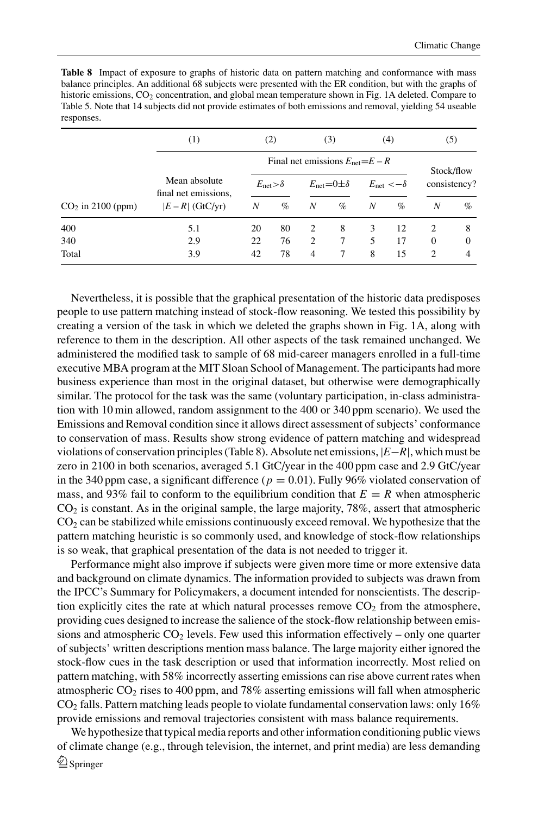| responses.          |                                       |                           |      |   |                                          |   |                            |                               |              |
|---------------------|---------------------------------------|---------------------------|------|---|------------------------------------------|---|----------------------------|-------------------------------|--------------|
|                     | (1)                                   |                           | (2)  |   | (3)                                      |   | (4)                        |                               | (5)          |
|                     |                                       |                           |      |   | Final net emissions $E_{\text{net}}=E-R$ |   |                            |                               | Stock/flow   |
|                     | Mean absolute<br>final net emissions. | $E_{\text{net}} > \delta$ |      |   | $E_{\text{net}}=0\pm\delta$              |   | $E_{\text{net}} < -\delta$ |                               | consistency? |
| $CO2$ in 2100 (ppm) | $ E - R $ (GtC/yr)                    | N                         | $\%$ | N | $\%$                                     | N | $\%$                       | N                             | $\%$         |
| 400                 | 5.1                                   | 20                        | 80   | 2 | 8                                        | 3 | 12                         | $\mathfrak{D}_{\mathfrak{p}}$ | 8            |
| 340                 | 2.9                                   | 22                        | 76   | 2 | 7                                        | 5 | 17                         | $\Omega$                      | $\Omega$     |
| Total               | 3.9                                   | 42                        | 78   | 4 | 7                                        | 8 | 15                         | $\mathcal{D}_{\mathcal{L}}$   | 4            |

**Table 8** Impact of exposure to graphs of historic data on pattern matching and conformance with mass balance principles. An additional 68 subjects were presented with the ER condition, but with the graphs of historic emissions, CO<sub>2</sub> concentration, and global mean temperature shown in Fig. 1A deleted. Compare to Table 5. Note that 14 subjects did not provide estimates of both emissions and removal, yielding 54 useable responses.

Nevertheless, it is possible that the graphical presentation of the historic data predisposes people to use pattern matching instead of stock-flow reasoning. We tested this possibility by creating a version of the task in which we deleted the graphs shown in Fig. 1A, along with reference to them in the description. All other aspects of the task remained unchanged. We administered the modified task to sample of 68 mid-career managers enrolled in a full-time executive MBA program at the MIT Sloan School of Management. The participants had more business experience than most in the original dataset, but otherwise were demographically similar. The protocol for the task was the same (voluntary participation, in-class administration with 10 min allowed, random assignment to the 400 or 340 ppm scenario). We used the Emissions and Removal condition since it allows direct assessment ofsubjects' conformance to conservation of mass. Results show strong evidence of pattern matching and widespread violations of conservation principles(Table 8). Absolute net emissions, |*E*−*R*|, which must be zero in 2100 in both scenarios, averaged 5.1 GtC/year in the 400 ppm case and 2.9 GtC/year in the 340 ppm case, a significant difference ( $p = 0.01$ ). Fully 96% violated conservation of mass, and 93% fail to conform to the equilibrium condition that  $E = R$  when atmospheric  $CO<sub>2</sub>$  is constant. As in the original sample, the large majority, 78%, assert that atmospheric CO2 can be stabilized while emissions continuously exceed removal. We hypothesize that the pattern matching heuristic is so commonly used, and knowledge of stock-flow relationships is so weak, that graphical presentation of the data is not needed to trigger it.

Performance might also improve if subjects were given more time or more extensive data and background on climate dynamics. The information provided to subjects was drawn from the IPCC's Summary for Policymakers, a document intended for nonscientists. The description explicitly cites the rate at which natural processes remove  $CO<sub>2</sub>$  from the atmosphere, providing cues designed to increase the salience of the stock-flow relationship between emissions and atmospheric  $CO<sub>2</sub>$  levels. Few used this information effectively – only one quarter of subjects' written descriptions mention mass balance. The large majority either ignored the stock-flow cues in the task description or used that information incorrectly. Most relied on pattern matching, with 58% incorrectly asserting emissions can rise above current rates when atmospheric  $CO<sub>2</sub>$  rises to 400 ppm, and 78% asserting emissions will fall when atmospheric  $CO<sub>2</sub>$  falls. Pattern matching leads people to violate fundamental conservation laws: only 16% provide emissions and removal trajectories consistent with mass balance requirements.

We hypothesize that typical media reports and other information conditioning public views of climate change (e.g., through television, the internet, and print media) are less demanding  $\bigcirc$  Springer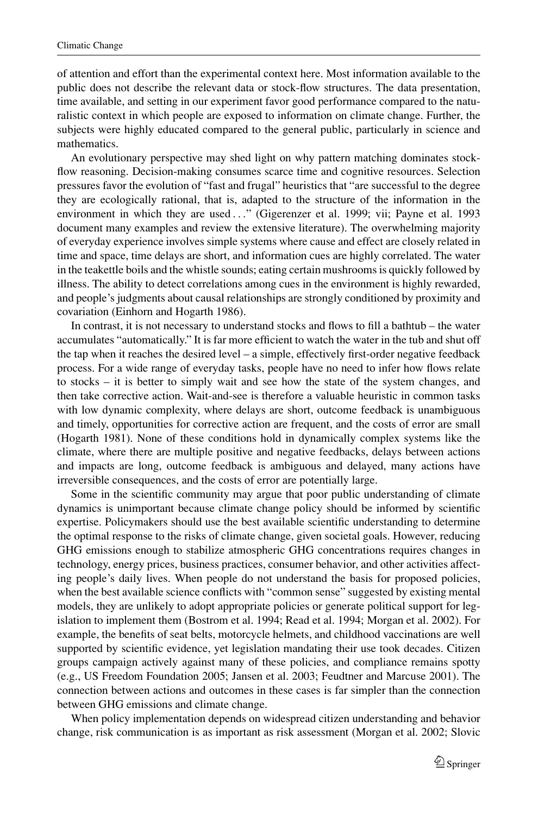of attention and effort than the experimental context here. Most information available to the public does not describe the relevant data or stock-flow structures. The data presentation, time available, and setting in our experiment favor good performance compared to the naturalistic context in which people are exposed to information on climate change. Further, the subjects were highly educated compared to the general public, particularly in science and mathematics.

An evolutionary perspective may shed light on why pattern matching dominates stockflow reasoning. Decision-making consumes scarce time and cognitive resources. Selection pressures favor the evolution of "fast and frugal" heuristics that "are successful to the degree they are ecologically rational, that is, adapted to the structure of the information in the environment in which they are used ..." (Gigerenzer et al. 1999; vii; Payne et al. 1993 document many examples and review the extensive literature). The overwhelming majority of everyday experience involves simple systems where cause and effect are closely related in time and space, time delays are short, and information cues are highly correlated. The water in the teakettle boils and the whistle sounds; eating certain mushroomsis quickly followed by illness. The ability to detect correlations among cues in the environment is highly rewarded, and people's judgments about causal relationships are strongly conditioned by proximity and covariation (Einhorn and Hogarth 1986).

In contrast, it is not necessary to understand stocks and flows to fill a bathtub – the water accumulates "automatically." It is far more efficient to watch the water in the tub and shut off the tap when it reaches the desired level – a simple, effectively first-order negative feedback process. For a wide range of everyday tasks, people have no need to infer how flows relate to stocks – it is better to simply wait and see how the state of the system changes, and then take corrective action. Wait-and-see is therefore a valuable heuristic in common tasks with low dynamic complexity, where delays are short, outcome feedback is unambiguous and timely, opportunities for corrective action are frequent, and the costs of error are small (Hogarth 1981). None of these conditions hold in dynamically complex systems like the climate, where there are multiple positive and negative feedbacks, delays between actions and impacts are long, outcome feedback is ambiguous and delayed, many actions have irreversible consequences, and the costs of error are potentially large.

Some in the scientific community may argue that poor public understanding of climate dynamics is unimportant because climate change policy should be informed by scientific expertise. Policymakers should use the best available scientific understanding to determine the optimal response to the risks of climate change, given societal goals. However, reducing GHG emissions enough to stabilize atmospheric GHG concentrations requires changes in technology, energy prices, business practices, consumer behavior, and other activities affecting people's daily lives. When people do not understand the basis for proposed policies, when the best available science conflicts with "common sense" suggested by existing mental models, they are unlikely to adopt appropriate policies or generate political support for legislation to implement them (Bostrom et al. 1994; Read et al. 1994; Morgan et al. 2002). For example, the benefits of seat belts, motorcycle helmets, and childhood vaccinations are well supported by scientific evidence, yet legislation mandating their use took decades. Citizen groups campaign actively against many of these policies, and compliance remains spotty (e.g., US Freedom Foundation 2005; Jansen et al. 2003; Feudtner and Marcuse 2001). The connection between actions and outcomes in these cases is far simpler than the connection between GHG emissions and climate change.

When policy implementation depends on widespread citizen understanding and behavior change, risk communication is as important as risk assessment (Morgan et al. 2002; Slovic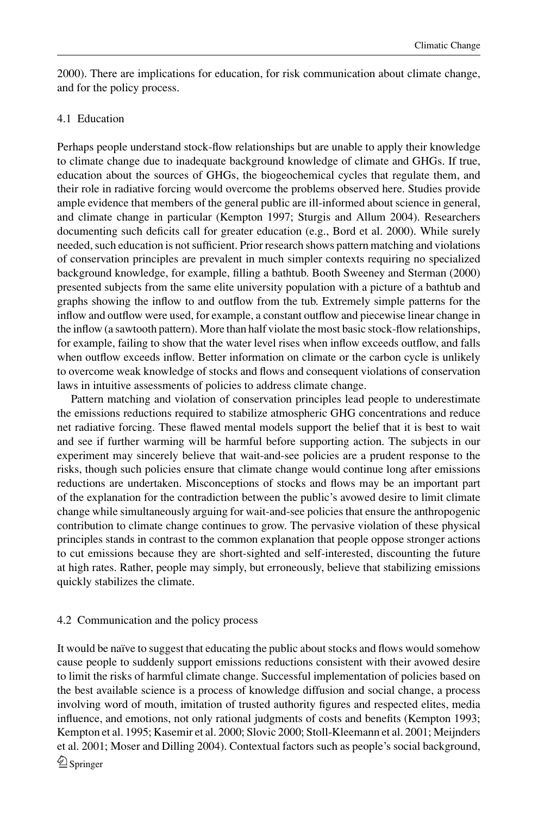2000). There are implications for education, for risk communication about climate change, and for the policy process.

### 4.1 Education

Perhaps people understand stock-flow relationships but are unable to apply their knowledge to climate change due to inadequate background knowledge of climate and GHGs. If true, education about the sources of GHGs, the biogeochemical cycles that regulate them, and their role in radiative forcing would overcome the problems observed here. Studies provide ample evidence that members of the general public are ill-informed about science in general, and climate change in particular (Kempton 1997; Sturgis and Allum 2004). Researchers documenting such deficits call for greater education (e.g., Bord et al. 2000). While surely needed, such education is not sufficient. Prior research shows pattern matching and violations of conservation principles are prevalent in much simpler contexts requiring no specialized background knowledge, for example, filling a bathtub. Booth Sweeney and Sterman (2000) presented subjects from the same elite university population with a picture of a bathtub and graphs showing the inflow to and outflow from the tub. Extremely simple patterns for the inflow and outflow were used, for example, a constant outflow and piecewise linear change in the inflow (a sawtooth pattern). More than half violate the most basic stock-flow relationships, for example, failing to show that the water level rises when inflow exceeds outflow, and falls when outflow exceeds inflow. Better information on climate or the carbon cycle is unlikely to overcome weak knowledge of stocks and flows and consequent violations of conservation laws in intuitive assessments of policies to address climate change.

Pattern matching and violation of conservation principles lead people to underestimate the emissions reductions required to stabilize atmospheric GHG concentrations and reduce net radiative forcing. These flawed mental models support the belief that it is best to wait and see if further warming will be harmful before supporting action. The subjects in our experiment may sincerely believe that wait-and-see policies are a prudent response to the risks, though such policies ensure that climate change would continue long after emissions reductions are undertaken. Misconceptions of stocks and flows may be an important part of the explanation for the contradiction between the public's avowed desire to limit climate change while simultaneously arguing for wait-and-see policies that ensure the anthropogenic contribution to climate change continues to grow. The pervasive violation of these physical principles stands in contrast to the common explanation that people oppose stronger actions to cut emissions because they are short-sighted and self-interested, discounting the future at high rates. Rather, people may simply, but erroneously, believe that stabilizing emissions quickly stabilizes the climate.

# 4.2 Communication and the policy process

It would be naïve to suggest that educating the public about stocks and flows would somehow cause people to suddenly support emissions reductions consistent with their avowed desire to limit the risks of harmful climate change. Successful implementation of policies based on the best available science is a process of knowledge diffusion and social change, a process involving word of mouth, imitation of trusted authority figures and respected elites, media influence, and emotions, not only rational judgments of costs and benefits (Kempton 1993; Kempton et al. 1995; Kasemir et al. 2000; Slovic 2000; Stoll-Kleemann et al. 2001; Meijnders et al. 2001; Moser and Dilling 2004). Contextual factors such as people's social background,  $\bigcirc$  Springer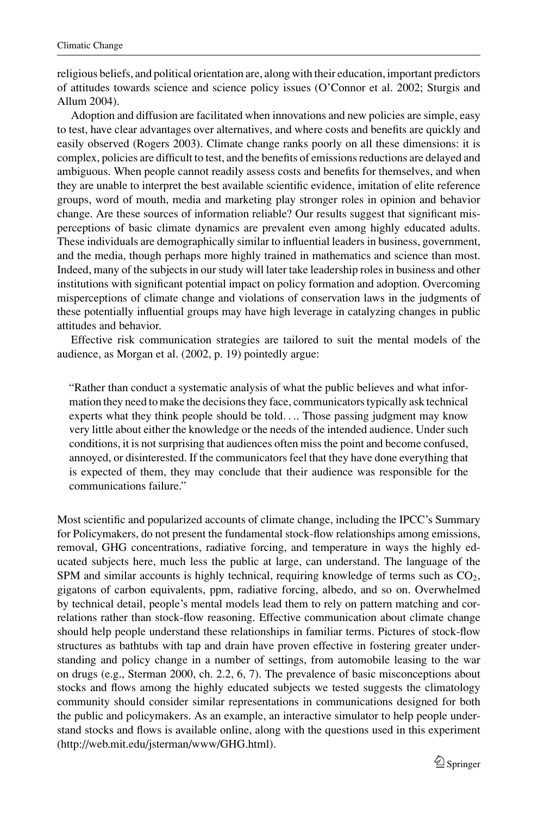religious beliefs, and political orientation are, along with their education, important predictors of attitudes towards science and science policy issues (O'Connor et al. 2002; Sturgis and Allum 2004).

Adoption and diffusion are facilitated when innovations and new policies are simple, easy to test, have clear advantages over alternatives, and where costs and benefits are quickly and easily observed (Rogers 2003). Climate change ranks poorly on all these dimensions: it is complex, policies are difficult to test, and the benefits of emissions reductions are delayed and ambiguous. When people cannot readily assess costs and benefits for themselves, and when they are unable to interpret the best available scientific evidence, imitation of elite reference groups, word of mouth, media and marketing play stronger roles in opinion and behavior change. Are these sources of information reliable? Our results suggest that significant misperceptions of basic climate dynamics are prevalent even among highly educated adults. These individuals are demographically similar to influential leaders in business, government, and the media, though perhaps more highly trained in mathematics and science than most. Indeed, many of the subjects in our study will later take leadership roles in business and other institutions with significant potential impact on policy formation and adoption. Overcoming misperceptions of climate change and violations of conservation laws in the judgments of these potentially influential groups may have high leverage in catalyzing changes in public attitudes and behavior.

Effective risk communication strategies are tailored to suit the mental models of the audience, as Morgan et al. (2002, p. 19) pointedly argue:

"Rather than conduct a systematic analysis of what the public believes and what information they need to make the decisionsthey face, communicatorstypically ask technical experts what they think people should be told. . .. Those passing judgment may know very little about either the knowledge or the needs of the intended audience. Under such conditions, it is not surprising that audiences often miss the point and become confused, annoyed, or disinterested. If the communicators feel that they have done everything that is expected of them, they may conclude that their audience was responsible for the communications failure."

Most scientific and popularized accounts of climate change, including the IPCC's Summary for Policymakers, do not present the fundamental stock-flow relationships among emissions, removal, GHG concentrations, radiative forcing, and temperature in ways the highly educated subjects here, much less the public at large, can understand. The language of the SPM and similar accounts is highly technical, requiring knowledge of terms such as  $CO<sub>2</sub>$ , gigatons of carbon equivalents, ppm, radiative forcing, albedo, and so on. Overwhelmed by technical detail, people's mental models lead them to rely on pattern matching and correlations rather than stock-flow reasoning. Effective communication about climate change should help people understand these relationships in familiar terms. Pictures of stock-flow structures as bathtubs with tap and drain have proven effective in fostering greater understanding and policy change in a number of settings, from automobile leasing to the war on drugs (e.g., Sterman 2000, ch. 2.2, 6, 7). The prevalence of basic misconceptions about stocks and flows among the highly educated subjects we tested suggests the climatology community should consider similar representations in communications designed for both the public and policymakers. As an example, an interactive simulator to help people understand stocks and flows is available online, along with the questions used in this experiment (http://web.mit.edu/jsterman/www/GHG.html).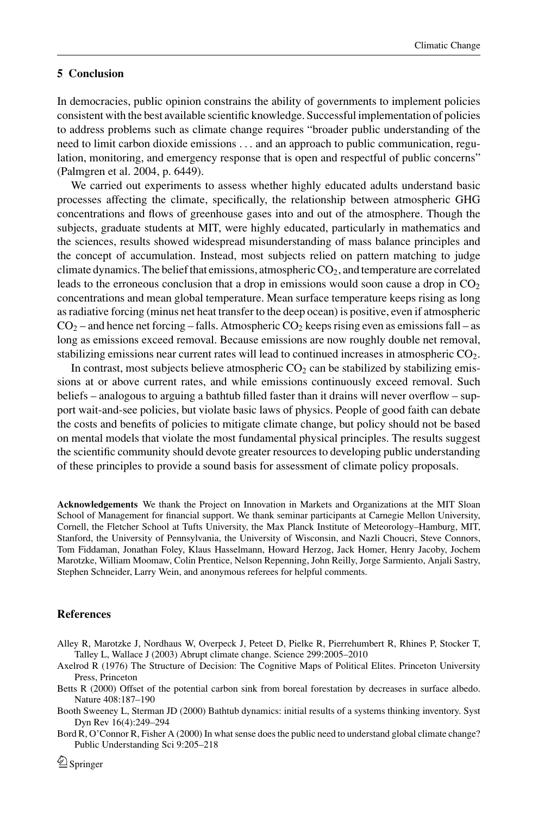#### **5 Conclusion**

In democracies, public opinion constrains the ability of governments to implement policies consistent with the best available scientific knowledge. Successful implementation of policies to address problems such as climate change requires "broader public understanding of the need to limit carbon dioxide emissions . . . and an approach to public communication, regulation, monitoring, and emergency response that is open and respectful of public concerns" (Palmgren et al. 2004, p. 6449).

We carried out experiments to assess whether highly educated adults understand basic processes affecting the climate, specifically, the relationship between atmospheric GHG concentrations and flows of greenhouse gases into and out of the atmosphere. Though the subjects, graduate students at MIT, were highly educated, particularly in mathematics and the sciences, results showed widespread misunderstanding of mass balance principles and the concept of accumulation. Instead, most subjects relied on pattern matching to judge climate dynamics. The belief that emissions, atmospheric  $CO<sub>2</sub>$ , and temperature are correlated leads to the erroneous conclusion that a drop in emissions would soon cause a drop in  $CO<sub>2</sub>$ concentrations and mean global temperature. Mean surface temperature keeps rising as long asradiative forcing (minus net heat transfer to the deep ocean) is positive, even if atmospheric  $CO<sub>2</sub>$  – and hence net forcing – falls. Atmospheric  $CO<sub>2</sub>$  keeps rising even as emissions fall – as long as emissions exceed removal. Because emissions are now roughly double net removal, stabilizing emissions near current rates will lead to continued increases in atmospheric  $CO<sub>2</sub>$ .

In contrast, most subjects believe atmospheric  $CO<sub>2</sub>$  can be stabilized by stabilizing emissions at or above current rates, and while emissions continuously exceed removal. Such beliefs – analogous to arguing a bathtub filled faster than it drains will never overflow – support wait-and-see policies, but violate basic laws of physics. People of good faith can debate the costs and benefits of policies to mitigate climate change, but policy should not be based on mental models that violate the most fundamental physical principles. The results suggest the scientific community should devote greater resources to developing public understanding of these principles to provide a sound basis for assessment of climate policy proposals.

**Acknowledgements** We thank the Project on Innovation in Markets and Organizations at the MIT Sloan School of Management for financial support. We thank seminar participants at Carnegie Mellon University, Cornell, the Fletcher School at Tufts University, the Max Planck Institute of Meteorology–Hamburg, MIT, Stanford, the University of Pennsylvania, the University of Wisconsin, and Nazli Choucri, Steve Connors, Tom Fiddaman, Jonathan Foley, Klaus Hasselmann, Howard Herzog, Jack Homer, Henry Jacoby, Jochem Marotzke, William Moomaw, Colin Prentice, Nelson Repenning, John Reilly, Jorge Sarmiento, Anjali Sastry, Stephen Schneider, Larry Wein, and anonymous referees for helpful comments.

#### **References**

- Alley R, Marotzke J, Nordhaus W, Overpeck J, Peteet D, Pielke R, Pierrehumbert R, Rhines P, Stocker T, Talley L, Wallace J (2003) Abrupt climate change. Science 299:2005–2010
- Axelrod R (1976) The Structure of Decision: The Cognitive Maps of Political Elites. Princeton University Press, Princeton
- Betts R (2000) Offset of the potential carbon sink from boreal forestation by decreases in surface albedo. Nature 408:187–190
- Booth Sweeney L, Sterman JD (2000) Bathtub dynamics: initial results of a systems thinking inventory. Syst Dyn Rev 16(4):249–294
- Bord R, O'Connor R, Fisher A (2000) In what sense does the public need to understand global climate change? Public Understanding Sci 9:205–218

 $\mathcal{Q}_{\text{Springer}}$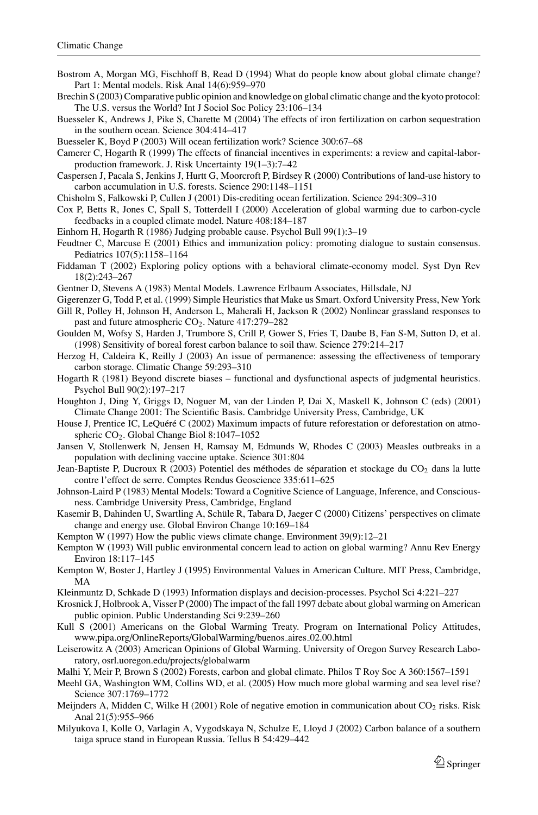- Bostrom A, Morgan MG, Fischhoff B, Read D (1994) What do people know about global climate change? Part 1: Mental models. Risk Anal 14(6):959–970
- Brechin S (2003) Comparative public opinion and knowledge on global climatic change and the kyoto protocol: The U.S. versus the World? Int J Sociol Soc Policy 23:106–134
- Buesseler K, Andrews J, Pike S, Charette M (2004) The effects of iron fertilization on carbon sequestration in the southern ocean. Science 304:414–417
- Buesseler K, Boyd P (2003) Will ocean fertilization work? Science 300:67–68

Camerer C, Hogarth R (1999) The effects of financial incentives in experiments: a review and capital-laborproduction framework. J. Risk Uncertainty 19(1–3):7–42

- Caspersen J, Pacala S, Jenkins J, Hurtt G, Moorcroft P, Birdsey R (2000) Contributions of land-use history to carbon accumulation in U.S. forests. Science 290:1148–1151
- Chisholm S, Falkowski P, Cullen J (2001) Dis-crediting ocean fertilization. Science 294:309–310
- Cox P, Betts R, Jones C, Spall S, Totterdell I (2000) Acceleration of global warming due to carbon-cycle feedbacks in a coupled climate model. Nature 408:184–187
- Einhorn H, Hogarth R (1986) Judging probable cause. Psychol Bull 99(1):3–19
- Feudtner C, Marcuse E (2001) Ethics and immunization policy: promoting dialogue to sustain consensus. Pediatrics 107(5):1158–1164
- Fiddaman T (2002) Exploring policy options with a behavioral climate-economy model. Syst Dyn Rev 18(2):243–267
- Gentner D, Stevens A (1983) Mental Models. Lawrence Erlbaum Associates, Hillsdale, NJ
- Gigerenzer G, Todd P, et al. (1999) Simple Heuristics that Make us Smart. Oxford University Press, New York Gill R, Polley H, Johnson H, Anderson L, Maherali H, Jackson R (2002) Nonlinear grassland responses to past and future atmospheric  $CO<sub>2</sub>$ . Nature 417:279–282
- Goulden M, Wofsy S, Harden J, Trumbore S, Crill P, Gower S, Fries T, Daube B, Fan S-M, Sutton D, et al. (1998) Sensitivity of boreal forest carbon balance to soil thaw. Science 279:214–217
- Herzog H, Caldeira K, Reilly J (2003) An issue of permanence: assessing the effectiveness of temporary carbon storage. Climatic Change 59:293–310
- Hogarth R (1981) Beyond discrete biases functional and dysfunctional aspects of judgmental heuristics. Psychol Bull 90(2):197–217
- Houghton J, Ding Y, Griggs D, Noguer M, van der Linden P, Dai X, Maskell K, Johnson C (eds) (2001) Climate Change 2001: The Scientific Basis. Cambridge University Press, Cambridge, UK
- House J, Prentice IC, LeQuéré C (2002) Maximum impacts of future reforestation or deforestation on atmospheric CO2. Global Change Biol 8:1047–1052
- Jansen V, Stollenwerk N, Jensen H, Ramsay M, Edmunds W, Rhodes C (2003) Measles outbreaks in a population with declining vaccine uptake. Science 301:804
- Jean-Baptiste P, Ducroux R (2003) Potentiel des méthodes de séparation et stockage du  $CO<sub>2</sub>$  dans la lutte contre l'effect de serre. Comptes Rendus Geoscience 335:611–625
- Johnson-Laird P (1983) Mental Models: Toward a Cognitive Science of Language, Inference, and Consciousness. Cambridge University Press, Cambridge, England
- Kasemir B, Dahinden U, Swartling A, Schüle R, Tabara D, Jaeger C (2000) Citizens' perspectives on climate change and energy use. Global Environ Change 10:169–184
- Kempton W (1997) How the public views climate change. Environment 39(9):12–21
- Kempton W (1993) Will public environmental concern lead to action on global warming? Annu Rev Energy Environ 18:117–145
- Kempton W, Boster J, Hartley J (1995) Environmental Values in American Culture. MIT Press, Cambridge, MA
- Kleinmuntz D, Schkade D (1993) Information displays and decision-processes. Psychol Sci 4:221–227
- Krosnick J, Holbrook A, Visser P (2000) The impact of the fall 1997 debate about global warming on American public opinion. Public Understanding Sci 9:239–260
- Kull S (2001) Americans on the Global Warming Treaty. Program on International Policy Attitudes, www.pipa.org/OnlineReports/GlobalWarming/buenos aires 02.00.html
- Leiserowitz A (2003) American Opinions of Global Warming. University of Oregon Survey Research Laboratory, osrl.uoregon.edu/projects/globalwarm
- Malhi Y, Meir P, Brown S (2002) Forests, carbon and global climate. Philos T Roy Soc A 360:1567–1591
- Meehl GA, Washington WM, Collins WD, et al. (2005) How much more global warming and sea level rise? Science 307:1769–1772
- Meijnders A, Midden C, Wilke H (2001) Role of negative emotion in communication about  $CO<sub>2</sub>$  risks. Risk Anal 21(5):955–966
- Milyukova I, Kolle O, Varlagin A, Vygodskaya N, Schulze E, Lloyd J (2002) Carbon balance of a southern taiga spruce stand in European Russia. Tellus B 54:429–442